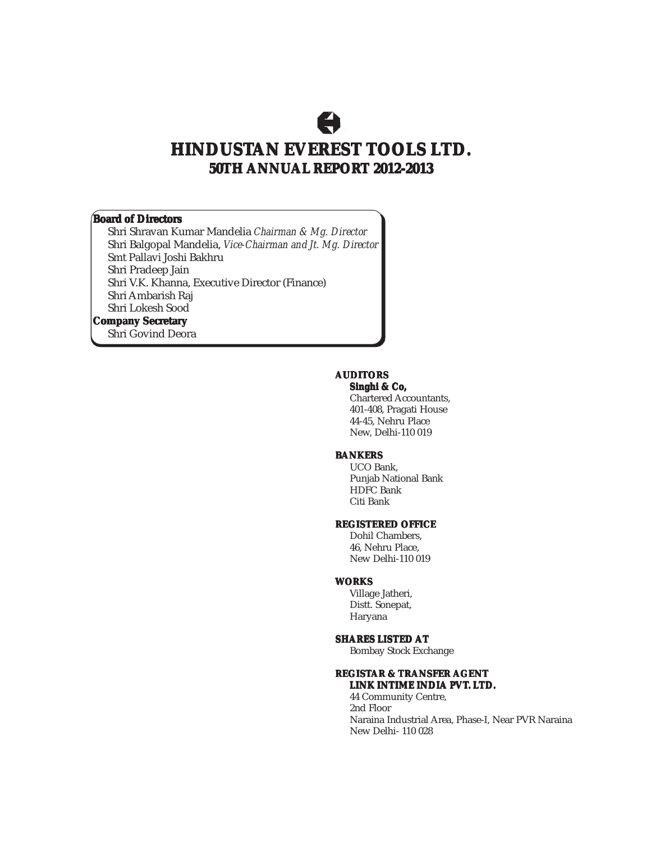## $\bigoplus$

### **HINDUSTAN EVEREST TOOLS LTD. 50TH ANNUAL REPORT 2012-2013**

#### **Board of Directors**

Shri Shravan Kumar Mandelia *Chairman & Mg. Director* Shri Balgopal Mandelia, *Vice-Chairman and Jt. Mg. Director* Smt Pallavi Joshi Bakhru Shri Pradeep Jain Shri V.K. Khanna, Executive Director (Finance) Shri Ambarish Raj Shri Lokesh Sood

#### **Company Secretary**

Shri Govind Deora

#### **AUDITORS**

**Singhi & Co, Co,**

Chartered Accountants, 401-408, Pragati House 44-45, Nehru Place New, Delhi-110 019

#### **BANKERS**

UCO Bank, Punjab National Bank HDFC Bank Citi Bank

#### **REGISTERED OFFICE**

Dohil Chambers, 46, Nehru Place, New Delhi-110 019

#### **WORKS**

Village Jatheri, Distt. Sonepat, Haryana

#### **SHARES LISTED AT**

Bombay Stock Exchange

#### **REGISTAR & TRANSFER AGENT**

**LINK INTIME INDIA PVT. LTD.** 44 Community Centre, 2nd Floor

Naraina Industrial Area, Phase-I, Near PVR Naraina New Delhi- 110 028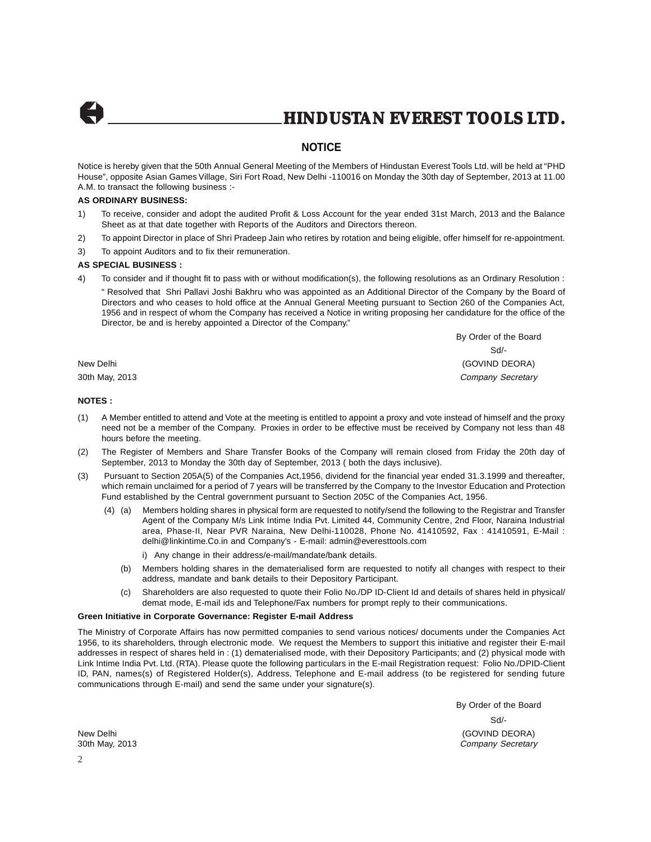

#### **NOTICE**

Notice is hereby given that the 50th Annual General Meeting of the Members of Hindustan Everest Tools Ltd. will be held at "PHD House", opposite Asian Games Village, Siri Fort Road, New Delhi -110016 on Monday the 30th day of September, 2013 at 11.00 A.M. to transact the following business :-

#### **AS ORDINARY BUSINESS:**

- 1) To receive, consider and adopt the audited Profit & Loss Account for the year ended 31st March, 2013 and the Balance Sheet as at that date together with Reports of the Auditors and Directors thereon.
- 2) To appoint Director in place of Shri Pradeep Jain who retires by rotation and being eligible, offer himself for re-appointment.
- 3) To appoint Auditors and to fix their remuneration.

#### **AS SPECIAL BUSINESS :**

4) To consider and if thought fit to pass with or without modification(s), the following resolutions as an Ordinary Resolution : " Resolved that Shri Pallavi Joshi Bakhru who was appointed as an Additional Director of the Company by the Board of Directors and who ceases to hold office at the Annual General Meeting pursuant to Section 260 of the Companies Act, 1956 and in respect of whom the Company has received a Notice in writing proposing her candidature for the office of the Director, be and is hereby appointed a Director of the Company."

By Order of the Board Sd/- New Delhi (GOVIND DEORA) 30th May, 2013 **Company Secretary** Company Secretary Company Secretary

#### **NOTES :**

- (1) A Member entitled to attend and Vote at the meeting is entitled to appoint a proxy and vote instead of himself and the proxy need not be a member of the Company. Proxies in order to be effective must be received by Company not less than 48 hours before the meeting.
- (2) The Register of Members and Share Transfer Books of the Company will remain closed from Friday the 20th day of September, 2013 to Monday the 30th day of September, 2013 ( both the days inclusive).
- (3) Pursuant to Section 205A(5) of the Companies Act,1956, dividend for the financial year ended 31.3.1999 and thereafter, which remain unclaimed for a period of 7 years will be transferred by the Company to the Investor Education and Protection Fund established by the Central government pursuant to Section 205C of the Companies Act, 1956.
	- (4) (a) Members holding shares in physical form are requested to notify/send the following to the Registrar and Transfer Agent of the Company M/s Link Intime India Pvt. Limited 44, Community Centre, 2nd Floor, Naraina Industrial area, Phase-II, Near PVR Naraina, New Delhi-110028, Phone No. 41410592, Fax : 41410591, E-Mail : delhi@linkintime.Co.in and Company's - E-mail: admin@everesttools.com
		- i) Any change in their address/e-mail/mandate/bank details.
		- (b) Members holding shares in the dematerialised form are requested to notify all changes with respect to their address, mandate and bank details to their Depository Participant.
		- (c) Shareholders are also requested to quote their Folio No./DP ID-Client Id and details of shares held in physical/ demat mode, E-mail ids and Telephone/Fax numbers for prompt reply to their communications.

#### **Green Initiative in Corporate Governance: Register E-mail Address**

The Ministry of Corporate Affairs has now permitted companies to send various notices/ documents under the Companies Act 1956, to its shareholders, through electronic mode. We request the Members to support this initiative and register their E-mail addresses in respect of shares held in : (1) dematerialised mode, with their Depository Participants; and (2) physical mode with Link Intime India Pvt. Ltd. (RTA). Please quote the following particulars in the E-mail Registration request: Folio No./DPID-Client ID, PAN, names(s) of Registered Holder(s), Address, Telephone and E-mail address (to be registered for sending future communications through E-mail) and send the same under your signature(s).

By Order of the Board Sd/- New Delhi (GOVIND DEORA) 30th May, 2013 Company Secretary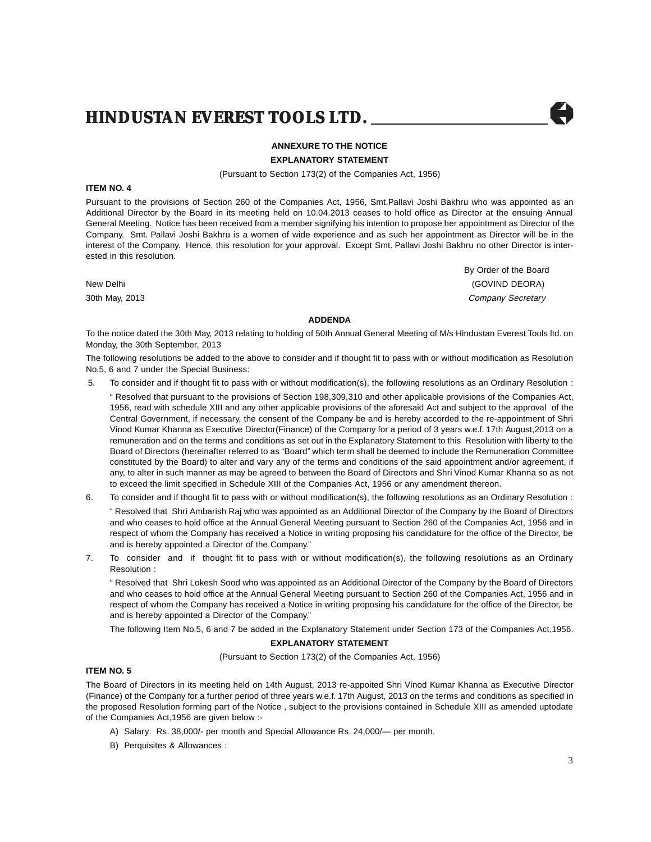#### **ANNEXURE TO THE NOTICE**

**EXPLANATORY STATEMENT**

(Pursuant to Section 173(2) of the Companies Act, 1956)

#### **ITEM NO. 4**

Pursuant to the provisions of Section 260 of the Companies Act, 1956, Smt.Pallavi Joshi Bakhru who was appointed as an Additional Director by the Board in its meeting held on 10.04.2013 ceases to hold office as Director at the ensuing Annual General Meeting. Notice has been received from a member signifying his intention to propose her appointment as Director of the Company. Smt. Pallavi Joshi Bakhru is a women of wide experience and as such her appointment as Director will be in the interest of the Company. Hence, this resolution for your approval. Except Smt. Pallavi Joshi Bakhru no other Director is interested in this resolution.

By Order of the Board New Delhi (GOVIND DEORA) 30th May, 2013 **Company Secretary** Company Secretary Company Secretary

#### **ADDENDA**

To the notice dated the 30th May, 2013 relating to holding of 50th Annual General Meeting of M/s Hindustan Everest Tools ltd. on Monday, the 30th September, 2013

The following resolutions be added to the above to consider and if thought fit to pass with or without modification as Resolution No.5, 6 and 7 under the Special Business:

5. To consider and if thought fit to pass with or without modification(s), the following resolutions as an Ordinary Resolution :

" Resolved that pursuant to the provisions of Section 198,309,310 and other applicable provisions of the Companies Act, 1956, read with schedule XIII and any other applicable provisions of the aforesaid Act and subject to the approval of the Central Government, if necessary, the consent of the Company be and is hereby accorded to the re-appointment of Shri Vinod Kumar Khanna as Executive Director(Finance) of the Company for a period of 3 years w.e.f. 17th August,2013 on a remuneration and on the terms and conditions as set out in the Explanatory Statement to this Resolution with liberty to the Board of Directors (hereinafter referred to as "Board" which term shall be deemed to include the Remuneration Committee constituted by the Board) to alter and vary any of the terms and conditions of the said appointment and/or agreement, if any, to alter in such manner as may be agreed to between the Board of Directors and Shri Vinod Kumar Khanna so as not to exceed the limit specified in Schedule XIII of the Companies Act, 1956 or any amendment thereon.

- 6. To consider and if thought fit to pass with or without modification(s), the following resolutions as an Ordinary Resolution : " Resolved that Shri Ambarish Raj who was appointed as an Additional Director of the Company by the Board of Directors and who ceases to hold office at the Annual General Meeting pursuant to Section 260 of the Companies Act, 1956 and in respect of whom the Company has received a Notice in writing proposing his candidature for the office of the Director, be and is hereby appointed a Director of the Company."
- 7. To consider and if thought fit to pass with or without modification(s), the following resolutions as an Ordinary Resolution :

" Resolved that Shri Lokesh Sood who was appointed as an Additional Director of the Company by the Board of Directors and who ceases to hold office at the Annual General Meeting pursuant to Section 260 of the Companies Act, 1956 and in respect of whom the Company has received a Notice in writing proposing his candidature for the office of the Director, be and is hereby appointed a Director of the Company."

The following Item No.5, 6 and 7 be added in the Explanatory Statement under Section 173 of the Companies Act,1956.

#### **EXPLANATORY STATEMENT**

(Pursuant to Section 173(2) of the Companies Act, 1956)

#### **ITEM NO. 5**

The Board of Directors in its meeting held on 14th August, 2013 re-appoited Shri Vinod Kumar Khanna as Executive Director (Finance) of the Company for a further period of three years w.e.f. 17th August, 2013 on the terms and conditions as specified in the proposed Resolution forming part of the Notice , subject to the provisions contained in Schedule XIII as amended uptodate of the Companies Act,1956 are given below :-

- A) Salary: Rs. 38,000/- per month and Special Allowance Rs. 24,000/— per month.
- B) Perquisites & Allowances :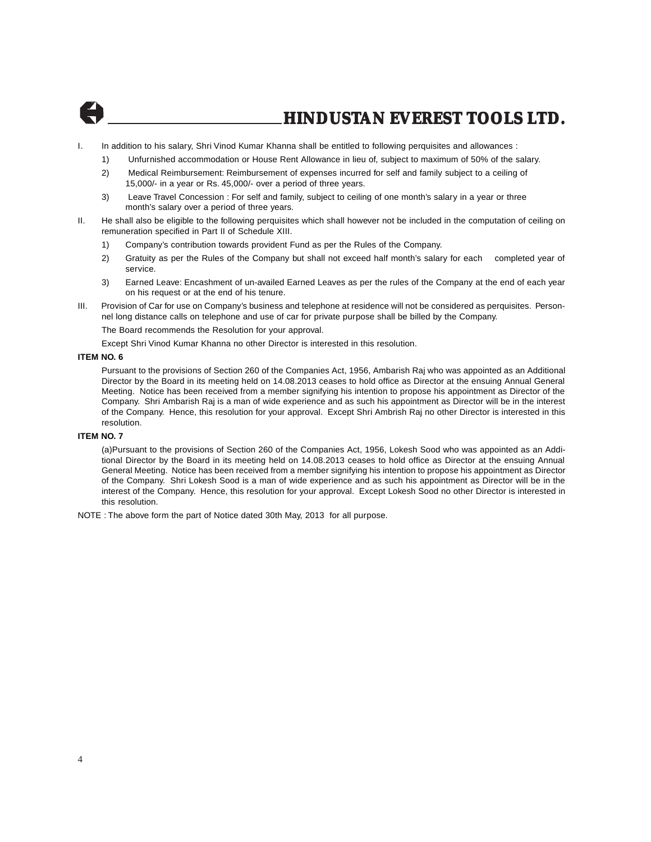

- I. In addition to his salary, Shri Vinod Kumar Khanna shall be entitled to following perquisites and allowances :
	- 1) Unfurnished accommodation or House Rent Allowance in lieu of, subject to maximum of 50% of the salary.
	- 2) Medical Reimbursement: Reimbursement of expenses incurred for self and family subject to a ceiling of 15,000/- in a year or Rs. 45,000/- over a period of three years.
	- 3) Leave Travel Concession : For self and family, subject to ceiling of one month's salary in a year or three month's salary over a period of three years.
- II. He shall also be eligible to the following perquisites which shall however not be included in the computation of ceiling on remuneration specified in Part II of Schedule XIII.
	- 1) Company's contribution towards provident Fund as per the Rules of the Company.
	- 2) Gratuity as per the Rules of the Company but shall not exceed half month's salary for each completed year of service.
	- 3) Earned Leave: Encashment of un-availed Earned Leaves as per the rules of the Company at the end of each year on his request or at the end of his tenure.
- III. Provision of Car for use on Company's business and telephone at residence will not be considered as perquisites. Personnel long distance calls on telephone and use of car for private purpose shall be billed by the Company.

The Board recommends the Resolution for your approval.

Except Shri Vinod Kumar Khanna no other Director is interested in this resolution.

#### **ITEM NO. 6**

Pursuant to the provisions of Section 260 of the Companies Act, 1956, Ambarish Raj who was appointed as an Additional Director by the Board in its meeting held on 14.08.2013 ceases to hold office as Director at the ensuing Annual General Meeting. Notice has been received from a member signifying his intention to propose his appointment as Director of the Company. Shri Ambarish Raj is a man of wide experience and as such his appointment as Director will be in the interest of the Company. Hence, this resolution for your approval. Except Shri Ambrish Raj no other Director is interested in this resolution.

#### **ITEM NO. 7**

(a)Pursuant to the provisions of Section 260 of the Companies Act, 1956, Lokesh Sood who was appointed as an Additional Director by the Board in its meeting held on 14.08.2013 ceases to hold office as Director at the ensuing Annual General Meeting. Notice has been received from a member signifying his intention to propose his appointment as Director of the Company. Shri Lokesh Sood is a man of wide experience and as such his appointment as Director will be in the interest of the Company. Hence, this resolution for your approval. Except Lokesh Sood no other Director is interested in this resolution.

NOTE : The above form the part of Notice dated 30th May, 2013 for all purpose.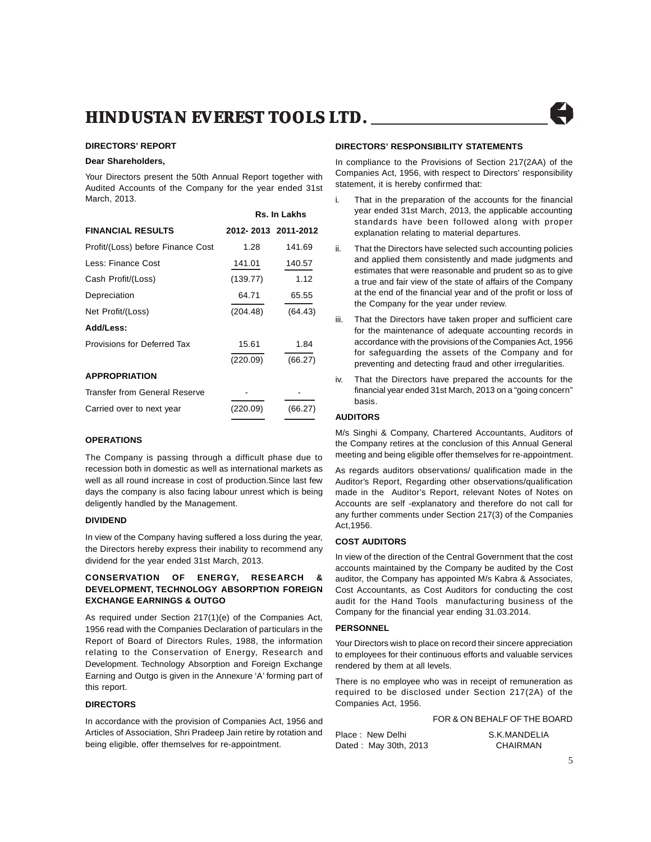**Rs. In Lakhs**

#### **DIRECTORS' REPORT**

#### **Dear Shareholders,**

Your Directors present the 50th Annual Report together with Audited Accounts of the Company for the year ended 31st March, 2013.

|                                   | 65. III LANIIS      |         |
|-----------------------------------|---------------------|---------|
| <b>FINANCIAL RESULTS</b>          | 2012-2013 2011-2012 |         |
| Profit/(Loss) before Finance Cost | 1.28                | 141.69  |
| Less: Finance Cost                | 141.01              | 140.57  |
| Cash Profit/(Loss)                | (139.77)            | 1.12    |
| Depreciation                      | 64.71               | 65.55   |
| Net Profit/(Loss)                 | (204.48)            | (64.43) |
| Add/Less:                         |                     |         |
| Provisions for Deferred Tax       | 15.61               | 1.84    |
|                                   | (220.09)            | (66.27) |
| <b>APPROPRIATION</b>              |                     |         |
| Transfer from General Reserve     |                     |         |
| Carried over to next year         | (220.09)            | (66.27) |
|                                   |                     |         |

#### **OPERATIONS**

The Company is passing through a difficult phase due to recession both in domestic as well as international markets as well as all round increase in cost of production.Since last few days the company is also facing labour unrest which is being deligently handled by the Management.

#### **DIVIDEND**

In view of the Company having suffered a loss during the year, the Directors hereby express their inability to recommend any dividend for the year ended 31st March, 2013.

#### **CONSERVATION OF ENERGY, RESEARCH & DEVELOPMENT, TECHNOLOGY ABSORPTION FOREIGN EXCHANGE EARNINGS & OUTGO**

As required under Section 217(1)(e) of the Companies Act, 1956 read with the Companies Declaration of particulars in the Report of Board of Directors Rules, 1988, the information relating to the Conservation of Energy, Research and Development. Technology Absorption and Foreign Exchange Earning and Outgo is given in the Annexure 'A' forming part of this report.

#### **DIRECTORS**

In accordance with the provision of Companies Act, 1956 and Articles of Association, Shri Pradeep Jain retire by rotation and being eligible, offer themselves for re-appointment.

#### **DIRECTORS' RESPONSIBILITY STATEMENTS**

In compliance to the Provisions of Section 217(2AA) of the Companies Act, 1956, with respect to Directors' responsibility statement, it is hereby confirmed that:

- i. That in the preparation of the accounts for the financial year ended 31st March, 2013, the applicable accounting standards have been followed along with proper explanation relating to material departures.
- ii. That the Directors have selected such accounting policies and applied them consistently and made judgments and estimates that were reasonable and prudent so as to give a true and fair view of the state of affairs of the Company at the end of the financial year and of the profit or loss of the Company for the year under review.
- iii. That the Directors have taken proper and sufficient care for the maintenance of adequate accounting records in accordance with the provisions of the Companies Act, 1956 for safeguarding the assets of the Company and for preventing and detecting fraud and other irregularities.
- iv. That the Directors have prepared the accounts for the financial year ended 31st March, 2013 on a "going concern" basis.

#### **AUDITORS**

M/s Singhi & Company, Chartered Accountants, Auditors of the Company retires at the conclusion of this Annual General meeting and being eligible offer themselves for re-appointment.

As regards auditors observations/ qualification made in the Auditor's Report, Regarding other observations/qualification made in the Auditor's Report, relevant Notes of Notes on Accounts are self -explanatory and therefore do not call for any further comments under Section 217(3) of the Companies Act,1956.

#### **COST AUDITORS**

In view of the direction of the Central Government that the cost accounts maintained by the Company be audited by the Cost auditor, the Company has appointed M/s Kabra & Associates, Cost Accountants, as Cost Auditors for conducting the cost audit for the Hand Tools manufacturing business of the Company for the financial year ending 31.03.2014.

#### **PERSONNEL**

Your Directors wish to place on record their sincere appreciation to employees for their continuous efforts and valuable services rendered by them at all levels.

There is no employee who was in receipt of remuneration as required to be disclosed under Section 217(2A) of the Companies Act, 1956.

#### FOR & ON BEHALF OF THE BOARD

| Place: New Delhi      | S.K.MANDELIA |
|-----------------------|--------------|
| Dated: May 30th, 2013 | CHAIRMAN     |

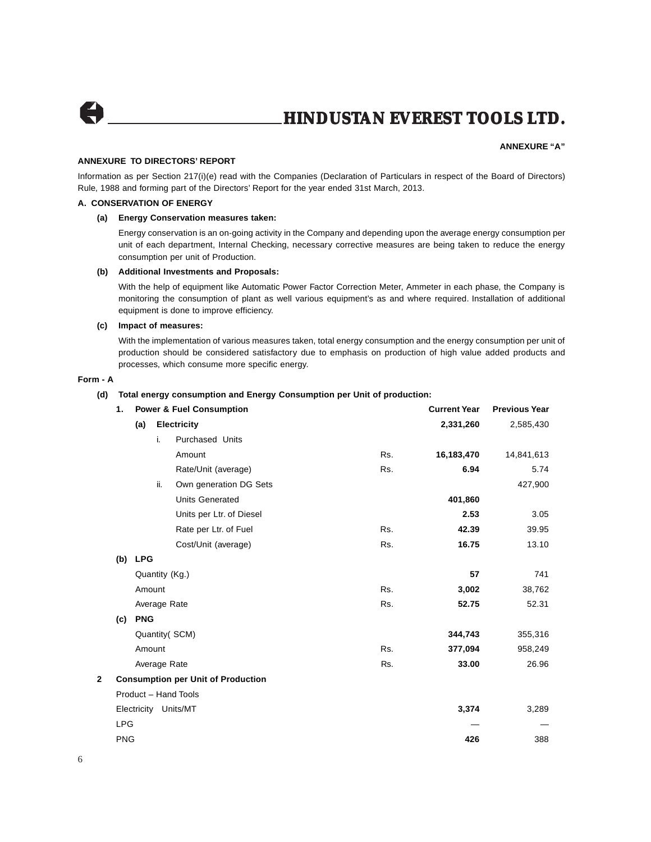

#### **ANNEXURE "A"**

#### **ANNEXURE TO DIRECTORS' REPORT**

Information as per Section 217(i)(e) read with the Companies (Declaration of Particulars in respect of the Board of Directors) Rule, 1988 and forming part of the Directors' Report for the year ended 31st March, 2013.

#### **A. CONSERVATION OF ENERGY**

#### **(a) Energy Conservation measures taken:**

Energy conservation is an on-going activity in the Company and depending upon the average energy consumption per unit of each department, Internal Checking, necessary corrective measures are being taken to reduce the energy consumption per unit of Production.

#### **(b) Additional Investments and Proposals:**

With the help of equipment like Automatic Power Factor Correction Meter, Ammeter in each phase, the Company is monitoring the consumption of plant as well various equipment's as and where required. Installation of additional equipment is done to improve efficiency.

#### **(c) Impact of measures:**

With the implementation of various measures taken, total energy consumption and the energy consumption per unit of production should be considered satisfactory due to emphasis on production of high value added products and processes, which consume more specific energy.

#### **Form - A**

#### **(d) Total energy consumption and Energy Consumption per Unit of production:**

|   | 1.         | <b>Power &amp; Fuel Consumption</b> |        |                                           |     | <b>Current Year</b> | <b>Previous Year</b> |
|---|------------|-------------------------------------|--------|-------------------------------------------|-----|---------------------|----------------------|
|   |            | (a)                                 |        | <b>Electricity</b>                        |     | 2,331,260           | 2,585,430            |
|   |            |                                     | i.     | Purchased Units                           |     |                     |                      |
|   |            |                                     |        | Amount                                    | Rs. | 16,183,470          | 14,841,613           |
|   |            |                                     |        | Rate/Unit (average)                       | Rs. | 6.94                | 5.74                 |
|   |            |                                     | ii.    | Own generation DG Sets                    |     |                     | 427,900              |
|   |            |                                     |        | <b>Units Generated</b>                    |     | 401,860             |                      |
|   |            |                                     |        | Units per Ltr. of Diesel                  |     | 2.53                | 3.05                 |
|   |            |                                     |        | Rate per Ltr. of Fuel                     | Rs. | 42.39               | 39.95                |
|   |            |                                     |        | Cost/Unit (average)                       | Rs. | 16.75               | 13.10                |
|   |            | (b) LPG                             |        |                                           |     |                     |                      |
|   |            |                                     |        | Quantity (Kg.)                            |     | 57                  | 741                  |
|   |            |                                     | Amount |                                           | Rs. | 3,002               | 38,762               |
|   |            |                                     |        | Average Rate                              | Rs. | 52.75               | 52.31                |
|   | (c)        | <b>PNG</b>                          |        |                                           |     |                     |                      |
|   |            |                                     |        | Quantity (SCM)                            |     | 344,743             | 355,316              |
|   |            |                                     | Amount |                                           | Rs. | 377,094             | 958,249              |
|   |            |                                     |        | Average Rate                              | Rs. | 33.00               | 26.96                |
| 2 |            |                                     |        | <b>Consumption per Unit of Production</b> |     |                     |                      |
|   |            |                                     |        | Product - Hand Tools                      |     |                     |                      |
|   |            |                                     |        | Electricity Units/MT                      |     | 3,374               | 3,289                |
|   | <b>LPG</b> |                                     |        |                                           |     |                     |                      |
|   | <b>PNG</b> |                                     |        |                                           |     | 426                 | 388                  |
|   |            |                                     |        |                                           |     |                     |                      |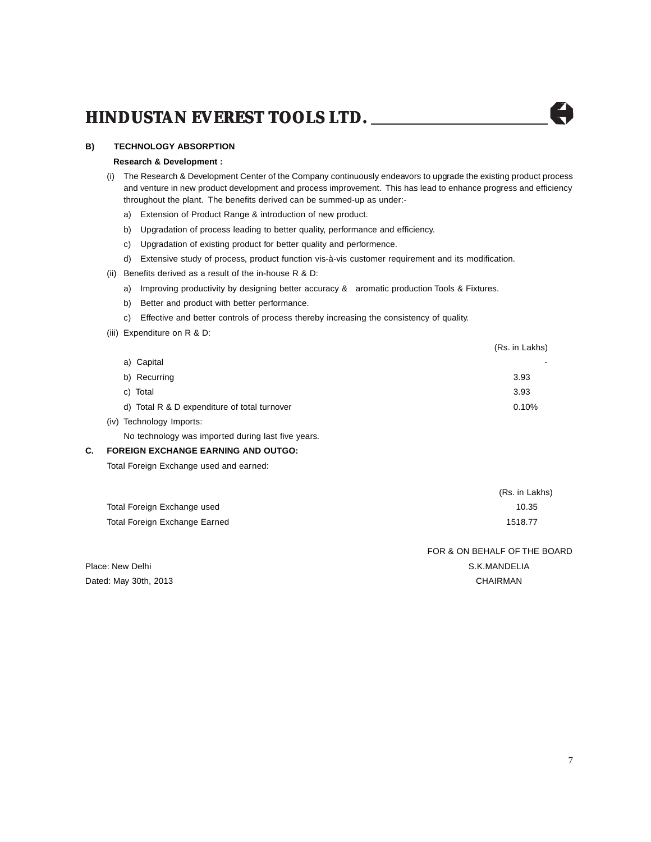#### **B) TECHNOLOGY ABSORPTION**

#### **Research & Development :**

- (i) The Research & Development Center of the Company continuously endeavors to upgrade the existing product process and venture in new product development and process improvement. This has lead to enhance progress and efficiency throughout the plant. The benefits derived can be summed-up as under:
	- a) Extension of Product Range & introduction of new product.
	- b) Upgradation of process leading to better quality, performance and efficiency.
	- c) Upgradation of existing product for better quality and performence.
	- d) Extensive study of process, product function vis-à-vis customer requirement and its modification.
- (ii) Benefits derived as a result of the in-house  $R$  &  $D$ :
	- a) Improving productivity by designing better accuracy & aromatic production Tools & Fixtures.
	- b) Better and product with better performance.
	- c) Effective and better controls of process thereby increasing the consistency of quality.
- (iii) Expenditure on R & D:

|                                              | (Rs. in Lakhs) |
|----------------------------------------------|----------------|
| a) Capital                                   |                |
| b) Recurring                                 | 3.93           |
| c) Total                                     | 3.93           |
| d) Total R & D expenditure of total turnover | 0.10%          |
| (iv) Technology Imports:                     |                |

No technology was imported during last five years.

#### **C. FOREIGN EXCHANGE EARNING AND OUTGO:**

Total Foreign Exchange used and earned:

|                               | (RS. III LANIS) |
|-------------------------------|-----------------|
| Total Foreign Exchange used   | 10.35           |
| Total Foreign Exchange Earned | 1518.77         |

FOR & ON BEHALF OF THE BOARD Place: New Delhi S.K.MANDELIA

(Rs. in Lakhs)

Dated: May 30th, 2013 CHAIRMAN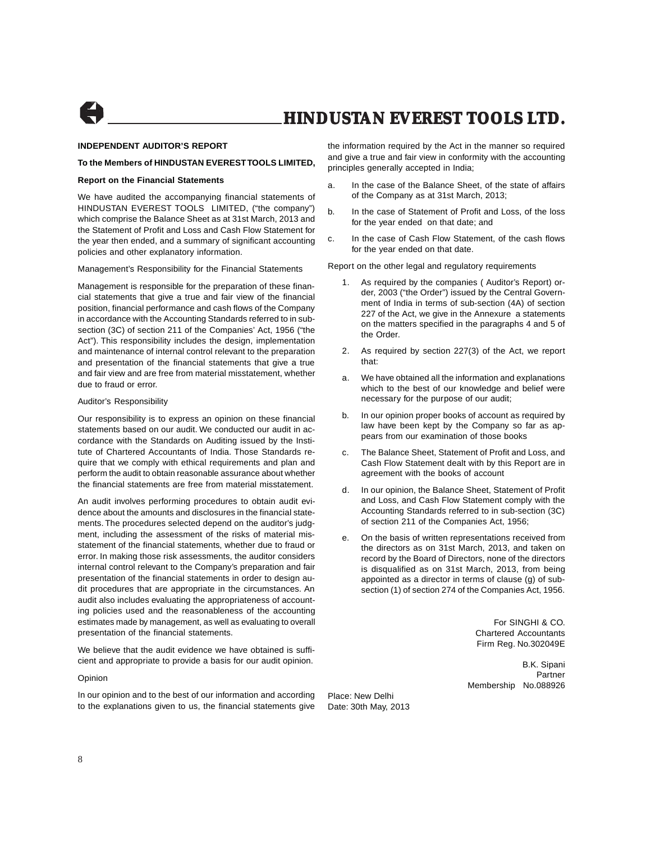

#### **INDEPENDENT AUDITOR'S REPORT**

#### **To the Members of HINDUSTAN EVEREST TOOLS LIMITED,**

#### **Report on the Financial Statements**

We have audited the accompanying financial statements of HINDUSTAN EVEREST TOOLS LIMITED, ("the company") which comprise the Balance Sheet as at 31st March, 2013 and the Statement of Profit and Loss and Cash Flow Statement for the year then ended, and a summary of significant accounting policies and other explanatory information.

Management's Responsibility for the Financial Statements

Management is responsible for the preparation of these financial statements that give a true and fair view of the financial position, financial performance and cash flows of the Company in accordance with the Accounting Standards referred to in subsection (3C) of section 211 of the Companies' Act, 1956 ("the Act"). This responsibility includes the design, implementation and maintenance of internal control relevant to the preparation and presentation of the financial statements that give a true and fair view and are free from material misstatement, whether due to fraud or error.

#### Auditor's Responsibility

Our responsibility is to express an opinion on these financial statements based on our audit. We conducted our audit in accordance with the Standards on Auditing issued by the Institute of Chartered Accountants of India. Those Standards require that we comply with ethical requirements and plan and perform the audit to obtain reasonable assurance about whether the financial statements are free from material misstatement.

An audit involves performing procedures to obtain audit evidence about the amounts and disclosures in the financial statements. The procedures selected depend on the auditor's judgment, including the assessment of the risks of material misstatement of the financial statements, whether due to fraud or error. In making those risk assessments, the auditor considers internal control relevant to the Company's preparation and fair presentation of the financial statements in order to design audit procedures that are appropriate in the circumstances. An audit also includes evaluating the appropriateness of accounting policies used and the reasonableness of the accounting estimates made by management, as well as evaluating to overall presentation of the financial statements.

We believe that the audit evidence we have obtained is sufficient and appropriate to provide a basis for our audit opinion.

#### Opinion

In our opinion and to the best of our information and according to the explanations given to us, the financial statements give the information required by the Act in the manner so required and give a true and fair view in conformity with the accounting principles generally accepted in India;

- a. In the case of the Balance Sheet, of the state of affairs of the Company as at 31st March, 2013;
- b. In the case of Statement of Profit and Loss, of the loss for the year ended on that date; and
- c. In the case of Cash Flow Statement, of the cash flows for the year ended on that date.

Report on the other legal and regulatory requirements

- 1. As required by the companies ( Auditor's Report) order, 2003 ("the Order") issued by the Central Government of India in terms of sub-section (4A) of section 227 of the Act, we give in the Annexure a statements on the matters specified in the paragraphs 4 and 5 of the Order.
- 2. As required by section 227(3) of the Act, we report that:
- a. We have obtained all the information and explanations which to the best of our knowledge and belief were necessary for the purpose of our audit;
- b. In our opinion proper books of account as required by law have been kept by the Company so far as appears from our examination of those books
- c. The Balance Sheet, Statement of Profit and Loss, and Cash Flow Statement dealt with by this Report are in agreement with the books of account
- d. In our opinion, the Balance Sheet, Statement of Profit and Loss, and Cash Flow Statement comply with the Accounting Standards referred to in sub-section (3C) of section 211 of the Companies Act, 1956;
- e. On the basis of written representations received from the directors as on 31st March, 2013, and taken on record by the Board of Directors, none of the directors is disqualified as on 31st March, 2013, from being appointed as a director in terms of clause (g) of subsection (1) of section 274 of the Companies Act, 1956.

Place: New Delhi Date: 30th May, 2013

For SINGHI & CO. Chartered Accountants Firm Reg. No.302049E

B.K. Sipani Partner Membership No.088926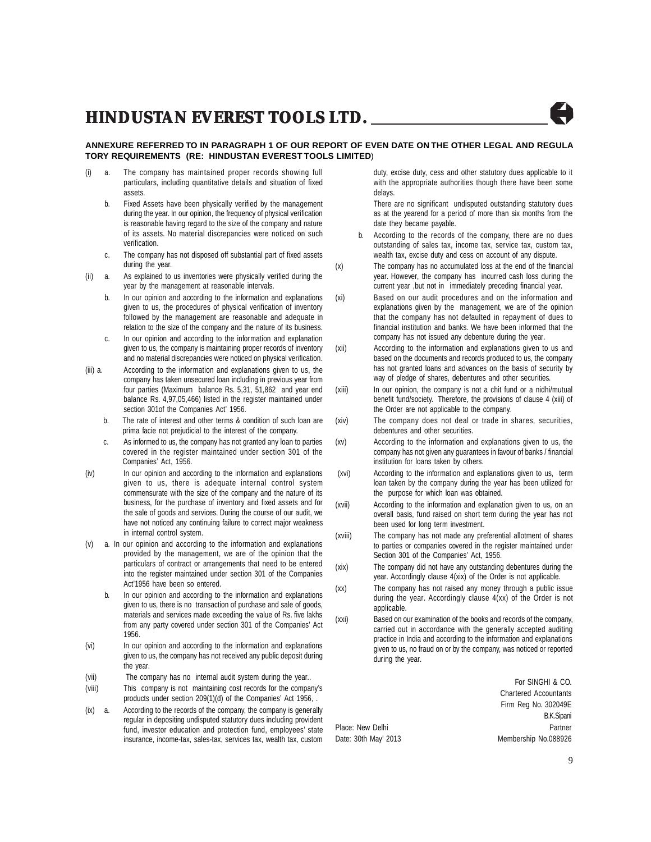

- (i) a. The company has maintained proper records showing full particulars, including quantitative details and situation of fixed assets.
	- b. Fixed Assets have been physically verified by the management during the year. In our opinion, the frequency of physical verification is reasonable having regard to the size of the company and nature of its assets. No material discrepancies were noticed on such verification.
	- c. The company has not disposed off substantial part of fixed assets during the year.
- (ii) a. As explained to us inventories were physically verified during the year by the management at reasonable intervals.
	- b. In our opinion and according to the information and explanations given to us, the procedures of physical verification of inventory followed by the management are reasonable and adequate in relation to the size of the company and the nature of its business.
	- c. In our opinion and according to the information and explanation given to us, the company is maintaining proper records of inventory and no material discrepancies were noticed on physical verification.
- (iii) a. According to the information and explanations given to us, the company has taken unsecured loan including in previous year from four parties (Maximum balance Rs. 5,31, 51,862 and year end balance Rs. 4,97,05,466) listed in the register maintained under section 301of the Companies Act' 1956.
	- b. The rate of interest and other terms & condition of such loan are prima facie not prejudicial to the interest of the company.
	- c. As informed to us, the company has not granted any loan to parties covered in the register maintained under section 301 of the Companies' Act, 1956.
- (iv) In our opinion and according to the information and explanations given to us, there is adequate internal control system commensurate with the size of the company and the nature of its business, for the purchase of inventory and fixed assets and for the sale of goods and services. During the course of our audit, we have not noticed any continuing failure to correct major weakness in internal control system.
- a. In our opinion and according to the information and explanations provided by the management, we are of the opinion that the particulars of contract or arrangements that need to be entered into the register maintained under section 301 of the Companies Act'1956 have been so entered.
	- b. In our opinion and according to the information and explanations given to us, there is no transaction of purchase and sale of goods, materials and services made exceeding the value of Rs. five lakhs from any party covered under section 301 of the Companies' Act 1956.
- (vi) In our opinion and according to the information and explanations given to us, the company has not received any public deposit during the year.
- (vii) The company has no internal audit system during the year..
- (viii) This company is not maintaining cost records for the company's products under section 209(1)(d) of the Companies' Act 1956, .
- (ix) a. According to the records of the company, the company is generally regular in depositing undisputed statutory dues including provident fund, investor education and protection fund, employees' state insurance, income-tax, sales-tax, services tax, wealth tax, custom

duty, excise duty, cess and other statutory dues applicable to it with the appropriate authorities though there have been some delays.

There are no significant undisputed outstanding statutory dues as at the yearend for a period of more than six months from the date they became payable.

- b. According to the records of the company, there are no dues outstanding of sales tax, income tax, service tax, custom tax, wealth tax, excise duty and cess on account of any dispute.
- (x) The company has no accumulated loss at the end of the financial year. However, the company has incurred cash loss during the current year ,but not in immediately preceding financial year.
- (xi) Based on our audit procedures and on the information and explanations given by the management, we are of the opinion that the company has not defaulted in repayment of dues to financial institution and banks. We have been informed that the company has not issued any debenture during the year.
- (xii) According to the information and explanations given to us and based on the documents and records produced to us, the company has not granted loans and advances on the basis of security by way of pledge of shares, debentures and other securities.
- (xiii) In our opinion, the company is not a chit fund or a nidhi/mutual benefit fund/society. Therefore, the provisions of clause 4 (xiii) of the Order are not applicable to the company.
- (xiv) The company does not deal or trade in shares, securities, debentures and other securities.
- (xv) According to the information and explanations given to us, the company has not given any guarantees in favour of banks / financial institution for loans taken by others.
- (xvi) According to the information and explanations given to us, term loan taken by the company during the year has been utilized for the purpose for which loan was obtained.
- (xvii) According to the information and explanation given to us, on an overall basis, fund raised on short term during the year has not been used for long term investment.
- (xviii) The company has not made any preferential allotment of shares to parties or companies covered in the register maintained under Section 301 of the Companies' Act, 1956.
- (xix) The company did not have any outstanding debentures during the year. Accordingly clause 4(xix) of the Order is not applicable.
- (xx) The company has not raised any money through a public issue during the year. Accordingly clause 4(xx) of the Order is not applicable.
- (xxi) Based on our examination of the books and records of the company, carried out in accordance with the generally accepted auditing practice in India and according to the information and explanations given to us, no fraud on or by the company, was noticed or reported during the year.

For SINGHI & CO. Chartered Accountants Firm Reg No. 302049E B.K.Sipani Place: New Delhi **Place:** New Delhi **Partner** Date: 30th May' 2013 Membership No.088926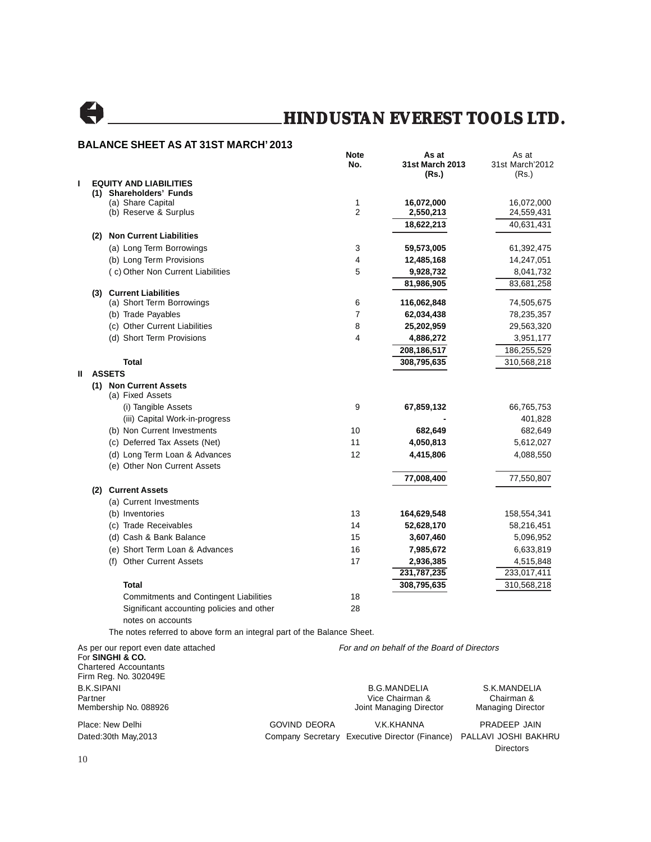

#### **BALANCE SHEET AS AT 31ST MARCH' 2013**

|   |                                                                                          | Note<br>No.         | As at<br>31st March 2013                    | As at<br>31st March'2012 |
|---|------------------------------------------------------------------------------------------|---------------------|---------------------------------------------|--------------------------|
| т | <b>EQUITY AND LIABILITIES</b>                                                            |                     | (Rs.)                                       | (Rs.)                    |
|   | (1) Shareholders' Funds                                                                  |                     |                                             |                          |
|   | (a) Share Capital                                                                        | 1                   | 16,072,000                                  | 16,072,000               |
|   | (b) Reserve & Surplus                                                                    | $\overline{2}$      | 2,550,213                                   | 24,559,431               |
|   |                                                                                          |                     | 18,622,213                                  | 40,631,431               |
|   | (2) Non Current Liabilities                                                              |                     |                                             |                          |
|   | (a) Long Term Borrowings                                                                 | 3                   | 59,573,005                                  | 61,392,475               |
|   | (b) Long Term Provisions                                                                 | 4                   | 12,485,168                                  | 14,247,051               |
|   | (c) Other Non Current Liabilities                                                        | 5                   | 9,928,732                                   | 8,041,732                |
|   |                                                                                          |                     | 81,986,905                                  | 83,681,258               |
|   | (3) Current Liabilities                                                                  |                     |                                             |                          |
|   | (a) Short Term Borrowings                                                                | 6<br>$\overline{7}$ | 116,062,848                                 | 74,505,675               |
|   | (b) Trade Payables                                                                       |                     | 62,034,438                                  | 78,235,357               |
|   | (c) Other Current Liabilities                                                            | 8                   | 25,202,959                                  | 29,563,320               |
|   | (d) Short Term Provisions                                                                | 4                   | 4,886,272                                   | 3,951,177                |
|   |                                                                                          |                     | 208,186,517                                 | 186,255,529              |
|   | <b>Total</b>                                                                             |                     | 308,795,635                                 | 310,568,218              |
| Ш | <b>ASSETS</b>                                                                            |                     |                                             |                          |
|   | (1) Non Current Assets<br>(a) Fixed Assets                                               |                     |                                             |                          |
|   | (i) Tangible Assets                                                                      | 9                   | 67,859,132                                  |                          |
|   |                                                                                          |                     |                                             | 66,765,753               |
|   | (iii) Capital Work-in-progress                                                           | 10                  |                                             | 401,828                  |
|   | (b) Non Current Investments                                                              | 11                  | 682,649                                     | 682,649                  |
|   | (c) Deferred Tax Assets (Net)                                                            |                     | 4,050,813                                   | 5,612,027                |
|   | (d) Long Term Loan & Advances                                                            | 12                  | 4,415,806                                   | 4,088,550                |
|   | (e) Other Non Current Assets                                                             |                     |                                             |                          |
|   |                                                                                          |                     | 77,008,400                                  | 77,550,807               |
|   | (2) Current Assets                                                                       |                     |                                             |                          |
|   | (a) Current Investments                                                                  |                     |                                             |                          |
|   | (b) Inventories                                                                          | 13                  | 164,629,548                                 | 158,554,341              |
|   | (c) Trade Receivables                                                                    | 14                  | 52,628,170                                  | 58,216,451               |
|   | (d) Cash & Bank Balance                                                                  | 15                  | 3,607,460                                   | 5,096,952                |
|   | (e) Short Term Loan & Advances                                                           | 16                  | 7,985,672                                   | 6,633,819                |
|   | (f) Other Current Assets                                                                 | 17                  | 2,936,385                                   | 4,515,848                |
|   |                                                                                          |                     | 231,787,235                                 | 233,017,411              |
|   | Total                                                                                    |                     | 308,795,635                                 | 310,568,218              |
|   | <b>Commitments and Contingent Liabilities</b>                                            | 18                  |                                             |                          |
|   | Significant accounting policies and other                                                | 28                  |                                             |                          |
|   | notes on accounts                                                                        |                     |                                             |                          |
|   | The notes referred to above form an integral part of the Balance Sheet.                  |                     |                                             |                          |
|   | As per our report even date attached<br>For SINGHI & CO.<br><b>Chartered Accountants</b> |                     | For and on behalf of the Board of Directors |                          |
|   | Firm Rea. No. 302049E                                                                    |                     |                                             |                          |

Firm Reg. No. 302049E B.K.SIPANI B.G.MANDELIA S.K.MANDELIA Partner Vice Chairman & Chairman & Membership No. 088926 Joint Managing Director Managing Director Place: New Delhi **Example 2018** GOVIND DEORA V.K.KHANNA PRADEEP JAIN Dated:30th May,2013 Company Secretary Executive Director (Finance) PALLAVI JOSHI BAKHRU Directors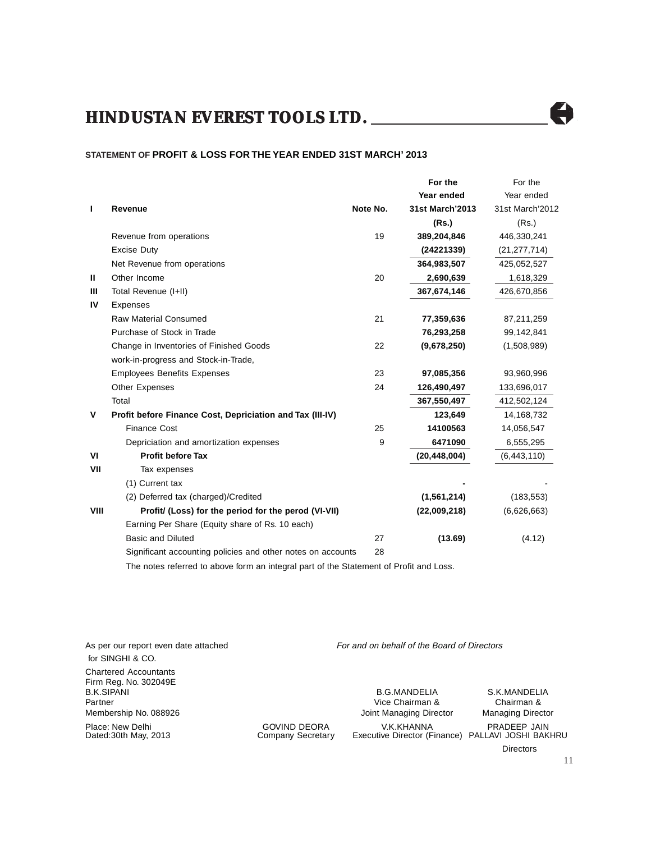#### **STATEMENT OF PROFIT & LOSS FOR THE YEAR ENDED 31ST MARCH' 2013**

|      |                                                             |          | For the         | For the         |
|------|-------------------------------------------------------------|----------|-----------------|-----------------|
|      |                                                             |          | Year ended      | Year ended      |
| ı    | Revenue                                                     | Note No. | 31st March'2013 | 31st March'2012 |
|      |                                                             |          | (Rs.)           | (Rs.)           |
|      | Revenue from operations                                     | 19       | 389,204,846     | 446,330,241     |
|      | <b>Excise Duty</b>                                          |          | (24221339)      | (21, 277, 714)  |
|      | Net Revenue from operations                                 |          | 364,983,507     | 425,052,527     |
| Ш    | Other Income                                                | 20       | 2,690,639       | 1,618,329       |
| Ш    | Total Revenue (I+II)                                        |          | 367,674,146     | 426,670,856     |
| IV   | Expenses                                                    |          |                 |                 |
|      | <b>Raw Material Consumed</b>                                | 21       | 77,359,636      | 87,211,259      |
|      | Purchase of Stock in Trade                                  |          | 76,293,258      | 99,142,841      |
|      | Change in Inventories of Finished Goods                     | 22       | (9,678,250)     | (1,508,989)     |
|      | work-in-progress and Stock-in-Trade,                        |          |                 |                 |
|      | <b>Employees Benefits Expenses</b>                          | 23       | 97,085,356      | 93,960,996      |
|      | Other Expenses                                              | 24       | 126,490,497     | 133,696,017     |
|      | Total                                                       |          | 367,550,497     | 412,502,124     |
| v    | Profit before Finance Cost, Depriciation and Tax (III-IV)   |          | 123,649         | 14,168,732      |
|      | <b>Finance Cost</b>                                         | 25       | 14100563        | 14,056,547      |
|      | Depriciation and amortization expenses                      | 9        | 6471090         | 6,555,295       |
| VI   | <b>Profit before Tax</b>                                    |          | (20, 448, 004)  | (6,443,110)     |
| VII  | Tax expenses                                                |          |                 |                 |
|      | (1) Current tax                                             |          |                 |                 |
|      | (2) Deferred tax (charged)/Credited                         |          | (1,561,214)     | (183, 553)      |
| VIII | Profit/ (Loss) for the period for the perod (VI-VII)        |          | (22,009,218)    | (6,626,663)     |
|      | Earning Per Share (Equity share of Rs. 10 each)             |          |                 |                 |
|      | <b>Basic and Diluted</b>                                    | 27       | (13.69)         | (4.12)          |
|      | Significant accounting policies and other notes on accounts | 28       |                 |                 |

The notes referred to above form an integral part of the Statement of Profit and Loss.

 for SINGHI & CO. Chartered Accountants Firm Reg. No. 302049E B.K.SIPANI B.G.MANDELIA S.K.MANDELIA Membership No. 088926 Joint Managing Director Managing Director

As per our report even date attached For and on behalf of the Board of Directors

Vice Chairman &

Place: New Delhi **COVIND DEORA** V.K.KHANNA PRADEEP JAIN Dedical 30th May, 2013 Company Secretary Executive Director (Finance) PALLAVI JOSHI BAK Executive Director (Finance) PALLAVI JOSHI BAKHRU

Directors

H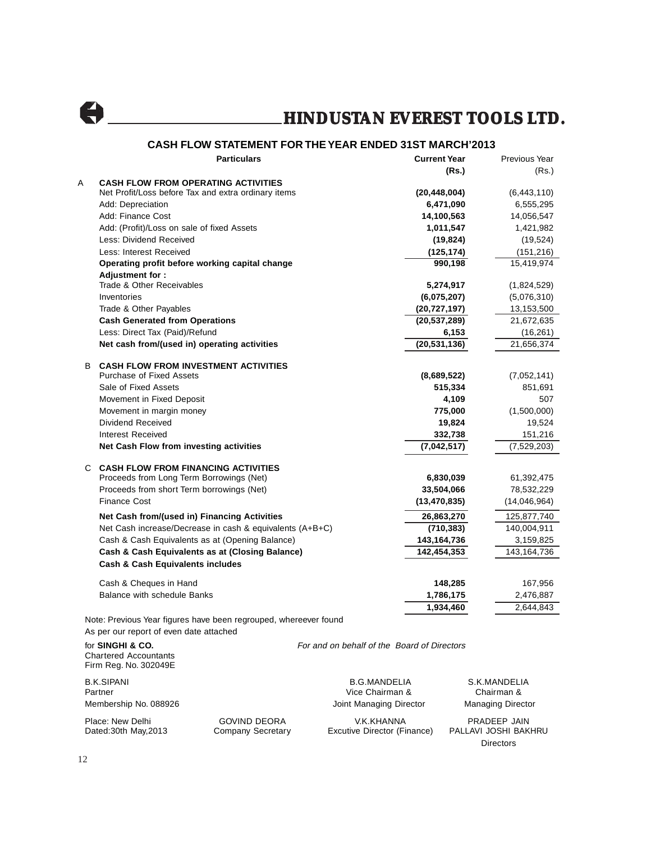A

#### **CASH FLOW STATEMENT FOR THE YEAR ENDED 31ST MARCH'2013**

|    | <b>Particulars</b>                                                             | <b>Current Year</b> | Previous Year |
|----|--------------------------------------------------------------------------------|---------------------|---------------|
|    |                                                                                | (Rs.)               | (Rs.)         |
| Α  | <b>CASH FLOW FROM OPERATING ACTIVITIES</b>                                     |                     |               |
|    | Net Profit/Loss before Tax and extra ordinary items                            | (20, 448, 004)      | (6,443,110)   |
|    | Add: Depreciation                                                              | 6,471,090           | 6,555,295     |
|    | Add: Finance Cost                                                              | 14,100,563          | 14,056,547    |
|    | Add: (Profit)/Loss on sale of fixed Assets                                     | 1,011,547           | 1,421,982     |
|    | Less: Dividend Received                                                        | (19, 824)           | (19, 524)     |
|    | Less: Interest Received                                                        | (125, 174)          | (151, 216)    |
|    | Operating profit before working capital change                                 | 990,198             | 15,419,974    |
|    | Adjustment for:                                                                |                     |               |
|    | Trade & Other Receivables                                                      | 5,274,917           | (1,824,529)   |
|    | Inventories                                                                    | (6,075,207)         | (5,076,310)   |
|    | Trade & Other Payables                                                         | (20, 727, 197)      | 13,153,500    |
|    | <b>Cash Generated from Operations</b>                                          | (20, 537, 289)      | 21,672,635    |
|    | Less: Direct Tax (Paid)/Refund                                                 | 6,153               | (16, 261)     |
|    | Net cash from/(used in) operating activities                                   | (20, 531, 136)      | 21,656,374    |
|    |                                                                                |                     |               |
| B. | <b>CASH FLOW FROM INVESTMENT ACTIVITIES</b><br><b>Purchase of Fixed Assets</b> | (8,689,522)         | (7,052,141)   |
|    | Sale of Fixed Assets                                                           | 515,334             | 851,691       |
|    | Movement in Fixed Deposit                                                      | 4,109               | 507           |
|    | Movement in margin money                                                       | 775,000             | (1,500,000)   |
|    | Dividend Received                                                              | 19,824              | 19,524        |
|    | Interest Received                                                              | 332,738             | 151,216       |
|    | Net Cash Flow from investing activities                                        | (7,042,517)         | (7,529,203)   |
|    |                                                                                |                     |               |
|    | <b>C CASH FLOW FROM FINANCING ACTIVITIES</b>                                   |                     |               |
|    | Proceeds from Long Term Borrowings (Net)                                       | 6,830,039           | 61,392,475    |
|    | Proceeds from short Term borrowings (Net)                                      | 33,504,066          | 78,532,229    |
|    | Finance Cost                                                                   | (13, 470, 835)      | (14,046,964)  |
|    | Net Cash from/(used in) Financing Activities                                   | 26,863,270          | 125,877,740   |
|    | Net Cash increase/Decrease in cash & equivalents (A+B+C)                       | (710, 383)          | 140,004,911   |
|    | Cash & Cash Equivalents as at (Opening Balance)                                | 143,164,736         | 3,159,825     |
|    | Cash & Cash Equivalents as at (Closing Balance)                                | 142,454,353         | 143, 164, 736 |
|    | <b>Cash &amp; Cash Equivalents includes</b>                                    |                     |               |
|    | Cash & Cheques in Hand                                                         | 148,285             | 167,956       |
|    | <b>Balance with schedule Banks</b>                                             | 1,786,175           | 2,476,887     |
|    |                                                                                | 1,934,460           | 2,644,843     |
|    | Note: Provisue Yoar figures have been regrouped whereover found                |                     |               |

Note: Previous Year figures have been regrouped, whereever found As per our report of even date attached

Chartered Accountants Firm Reg. No. 302049E B.K.SIPANI B.G.MANDELIA S.K.MANDELIA Partner **Chairman & Chairman & Chairman & Chairman & Chairman &** 

for **SINGHI & CO.** For and on behalf of the Board of Directors

Membership No. 088926 **Managing Director** Joint Managing Director Managing Director Place: New Delhi GOVIND DEORA V.K.KHANNA PRADEEP JAIN Excutive Director (Finance)

Directors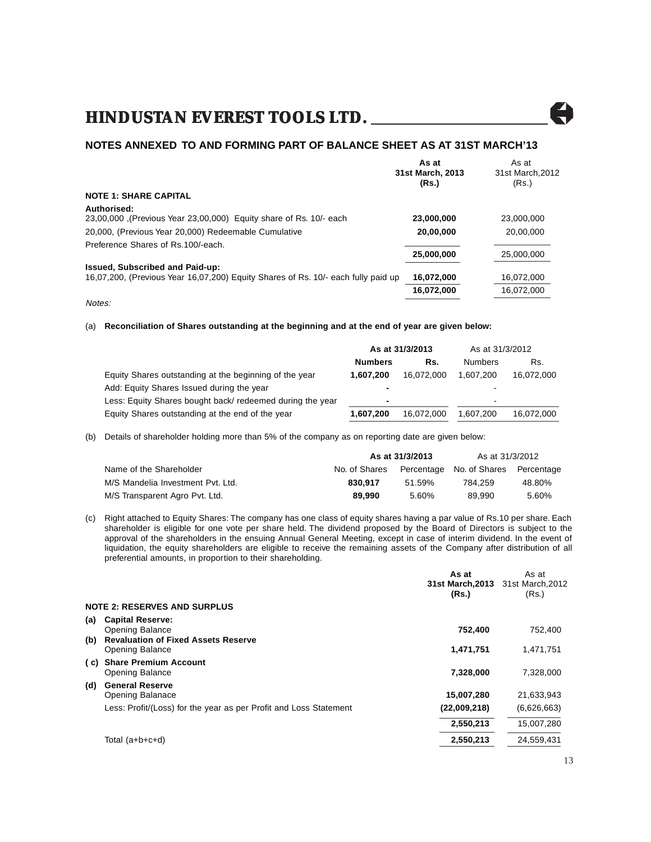

#### **NOTES ANNEXED TO AND FORMING PART OF BALANCE SHEET AS AT 31ST MARCH'13**

|                                                                                   | As at            | As at           |
|-----------------------------------------------------------------------------------|------------------|-----------------|
|                                                                                   | 31st March, 2013 | 31st March.2012 |
|                                                                                   | (Rs.)            | (Rs.)           |
| <b>NOTE 1: SHARE CAPITAL</b>                                                      |                  |                 |
| Authorised:                                                                       |                  |                 |
| 23,00,000 (Previous Year 23,00,000) Equity share of Rs. 10/- each                 | 23,000,000       | 23,000,000      |
| 20,000, (Previous Year 20,000) Redeemable Cumulative                              | 20,00,000        | 20,00,000       |
| Preference Shares of Rs.100/-each.                                                |                  |                 |
|                                                                                   | 25,000,000       | 25,000,000      |
| Issued, Subscribed and Paid-up:                                                   |                  |                 |
| 16,07,200, (Previous Year 16,07,200) Equity Shares of Rs. 10/- each fully paid up | 16,072,000       | 16.072.000      |
|                                                                                   | 16,072,000       | 16,072,000      |
| Notes:                                                                            |                  |                 |

#### (a) **Reconciliation of Shares outstanding at the beginning and at the end of year are given below:**

|                                                           | As at 31/3/2013 |            | As at 31/3/2012 |            |
|-----------------------------------------------------------|-----------------|------------|-----------------|------------|
|                                                           | <b>Numbers</b>  | Rs.        | <b>Numbers</b>  | Rs.        |
| Equity Shares outstanding at the beginning of the year    | 1.607.200       | 16.072.000 | 1.607.200       | 16,072,000 |
| Add: Equity Shares Issued during the year                 |                 |            | ٠               |            |
| Less: Equity Shares bought back/ redeemed during the year | -               |            |                 |            |
| Equity Shares outstanding at the end of the year          | 1,607,200       | 16,072,000 | 1.607.200       | 16,072,000 |

(b) Details of shareholder holding more than 5% of the company as on reporting date are given below:

|                                   | As at 31/3/2013 | As at 31/3/2012 |                                     |        |
|-----------------------------------|-----------------|-----------------|-------------------------------------|--------|
| Name of the Shareholder           | No. of Shares   |                 | Percentage No. of Shares Percentage |        |
| M/S Mandelia Investment Pvt. Ltd. | 830.917         | 51.59%          | 784.259                             | 48.80% |
| M/S Transparent Agro Pvt. Ltd.    | 89.990          | 5.60%           | 89.990                              | 5.60%  |

(c) Right attached to Equity Shares: The company has one class of equity shares having a par value of Rs.10 per share. Each shareholder is eligible for one vote per share held. The dividend proposed by the Board of Directors is subject to the approval of the shareholders in the ensuing Annual General Meeting, except in case of interim dividend. In the event of liquidation, the equity shareholders are eligible to receive the remaining assets of the Company after distribution of all preferential amounts, in proportion to their shareholding.

|            |                                                                                          | As at<br>31st March, 2013<br>(Rs.) | As at<br>31st March, 2012<br>(Rs.) |
|------------|------------------------------------------------------------------------------------------|------------------------------------|------------------------------------|
|            | <b>NOTE 2: RESERVES AND SURPLUS</b>                                                      |                                    |                                    |
| (a)<br>(b) | <b>Capital Reserve:</b><br>Opening Balance<br><b>Revaluation of Fixed Assets Reserve</b> | 752,400                            | 752,400                            |
|            | Opening Balance                                                                          | 1,471,751                          | 1,471,751                          |
| ( C) -     | <b>Share Premium Account</b><br>Opening Balance                                          | 7,328,000                          | 7,328,000                          |
| (d)        | <b>General Reserve</b><br>Opening Balanace                                               | 15,007,280                         | 21,633,943                         |
|            | Less: Profit/(Loss) for the year as per Profit and Loss Statement                        | (22,009,218)                       | (6,626,663)                        |
|            |                                                                                          | 2,550,213                          | 15,007,280                         |
|            | Total (a+b+c+d)                                                                          | 2,550,213                          | 24,559,431                         |
|            |                                                                                          |                                    |                                    |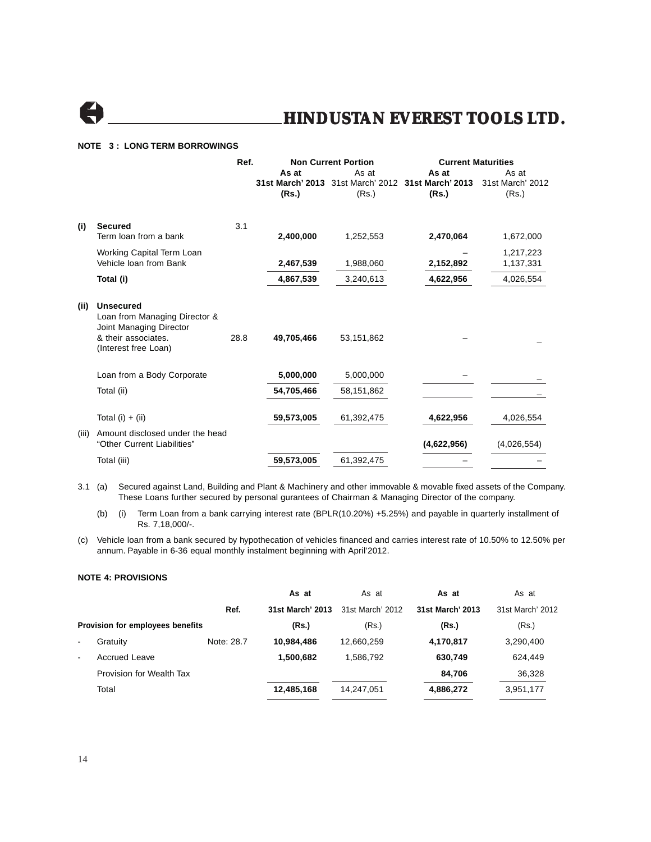

#### **NOTE 3 : LONG TERM BORROWINGS**

|       |                                                                                                                             | Ref. |            | <b>Non Current Portion</b> | <b>Current Maturities</b>                          |                  |
|-------|-----------------------------------------------------------------------------------------------------------------------------|------|------------|----------------------------|----------------------------------------------------|------------------|
|       |                                                                                                                             |      | As at      | As at                      | As at                                              | As at            |
|       |                                                                                                                             |      |            |                            | 31st March' 2013 31st March' 2012 31st March' 2013 | 31st March' 2012 |
|       |                                                                                                                             |      | (Rs.)      | (Rs.)                      | (Rs.)                                              | (Rs.)            |
| (i)   | <b>Secured</b>                                                                                                              | 3.1  |            |                            |                                                    |                  |
|       | Term loan from a bank                                                                                                       |      | 2,400,000  | 1,252,553                  | 2,470,064                                          | 1,672,000        |
|       | Working Capital Term Loan                                                                                                   |      |            |                            |                                                    | 1,217,223        |
|       | Vehicle Ioan from Bank                                                                                                      |      | 2,467,539  | 1,988,060                  | 2,152,892                                          | 1,137,331        |
|       | Total (i)                                                                                                                   |      | 4,867,539  | 3,240,613                  | 4,622,956                                          | 4,026,554        |
| (ii)  | <b>Unsecured</b><br>Loan from Managing Director &<br>Joint Managing Director<br>& their associates.<br>(Interest free Loan) | 28.8 | 49,705,466 | 53,151,862                 |                                                    |                  |
|       | Loan from a Body Corporate                                                                                                  |      | 5,000,000  | 5,000,000                  |                                                    |                  |
|       | Total (ii)                                                                                                                  |      | 54,705,466 | 58,151,862                 |                                                    |                  |
|       | Total $(i) + (ii)$                                                                                                          |      | 59,573,005 | 61,392,475                 | 4,622,956                                          | 4,026,554        |
| (iii) | Amount disclosed under the head<br>"Other Current Liabilities"                                                              |      |            |                            | (4,622,956)                                        | (4,026,554)      |
|       | Total (iii)                                                                                                                 |      | 59,573,005 | 61,392,475                 |                                                    |                  |

3.1 (a) Secured against Land, Building and Plant & Machinery and other immovable & movable fixed assets of the Company. These Loans further secured by personal gurantees of Chairman & Managing Director of the company.

(b) (i) Term Loan from a bank carrying interest rate (BPLR(10.20%) +5.25%) and payable in quarterly installment of Rs. 7,18,000/-.

(c) Vehicle loan from a bank secured by hypothecation of vehicles financed and carries interest rate of 10.50% to 12.50% per annum. Payable in 6-36 equal monthly instalment beginning with April'2012.

#### **NOTE 4: PROVISIONS**

|                |                                  |            | As at            | As at            | As at            | As at            |
|----------------|----------------------------------|------------|------------------|------------------|------------------|------------------|
|                |                                  | Ref.       | 31st March' 2013 | 31st March' 2012 | 31st March' 2013 | 31st March' 2012 |
|                | Provision for employees benefits |            | (Rs.)            | (Rs.)            | (Rs.)            | (Rs.)            |
| $\blacksquare$ | Gratuity                         | Note: 28.7 | 10.984.486       | 12,660,259       | 4,170,817        | 3,290,400        |
| $\sim$         | Accrued Leave                    |            | 1,500,682        | 1.586.792        | 630,749          | 624,449          |
|                | Provision for Wealth Tax         |            |                  |                  | 84.706           | 36,328           |
|                | Total                            |            | 12,485,168       | 14,247,051       | 4,886,272        | 3,951,177        |
|                |                                  |            |                  |                  |                  |                  |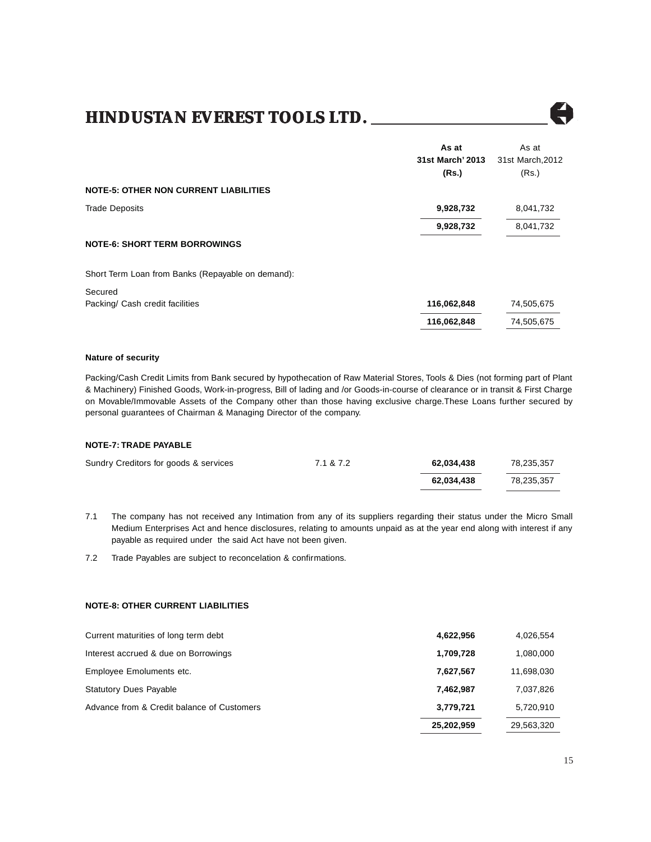

#### **Nature of security**

Packing/Cash Credit Limits from Bank secured by hypothecation of Raw Material Stores, Tools & Dies (not forming part of Plant & Machinery) Finished Goods, Work-in-progress, Bill of lading and /or Goods-in-course of clearance or in transit & First Charge on Movable/Immovable Assets of the Company other than those having exclusive charge.These Loans further secured by personal guarantees of Chairman & Managing Director of the company.

#### **NOTE-7: TRADE PAYABLE**

| Sundry Creditors for goods & services | 7.1 & 7.2 | 62.034.438 | 78.235.357 |
|---------------------------------------|-----------|------------|------------|
|                                       |           | 62.034.438 | 78.235.357 |

7.1 The company has not received any Intimation from any of its suppliers regarding their status under the Micro Small Medium Enterprises Act and hence disclosures, relating to amounts unpaid as at the year end along with interest if any payable as required under the said Act have not been given.

7.2 Trade Payables are subject to reconcelation & confirmations.

#### **NOTE-8: OTHER CURRENT LIABILITIES**

| Advance from & Credit balance of Customers | 3,779,721<br>25,202,959 | 5,720,910<br>29,563,320 |
|--------------------------------------------|-------------------------|-------------------------|
|                                            |                         |                         |
| <b>Statutory Dues Payable</b>              | 7,462,987               | 7,037,826               |
| Employee Emoluments etc.                   | 7,627,567               | 11,698,030              |
| Interest accrued & due on Borrowings       | 1,709,728               | 1,080,000               |
| Current maturities of long term debt       | 4,622,956               | 4,026,554               |

A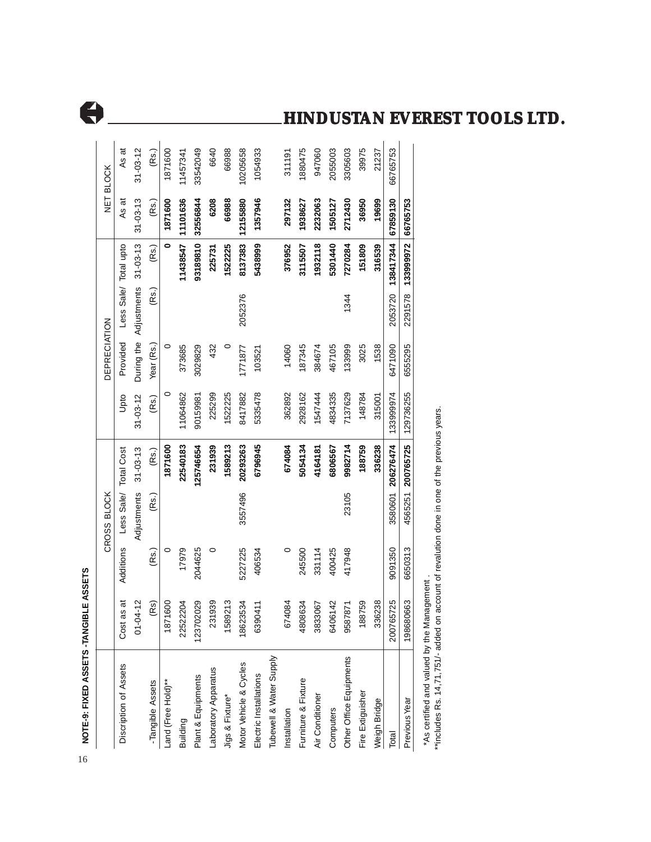| NOTE-9: FIXED ASSETS -TANGIBLE ASSETS |                   |           |             |                   |                |                     |                        |                       |                |                |
|---------------------------------------|-------------------|-----------|-------------|-------------------|----------------|---------------------|------------------------|-----------------------|----------------|----------------|
|                                       |                   |           | CROSS BLOCK |                   |                | <b>DEPRECIATION</b> |                        |                       |                | NET BLOCK      |
| Discription of Assets                 | Cost as at        | Additions | Less Sale/  | <b>Total Cost</b> | Upto           | Provided            |                        | Less Sale/ Total upto | As at          | As at          |
|                                       | $-04 - 12$<br>5   |           | Adjustments | $31 - 03 - 13$    | $31 - 03 - 12$ |                     | During the Adjustments | $31 - 03 - 13$        | $31 - 03 - 13$ | $31 - 03 - 12$ |
| -Tangible Assets                      | (R <sub>S</sub> ) | (Rs.)     | (Rs.)       | (Rs.)             | (Rs.)          | Year (Rs.)          | (Rs.)                  | (Rs.)                 | (Rs.)          | (Rs.)          |
| Land (Free Hold)**                    | 1871600           | 0         |             | 1871600           | 0              | 0                   |                        | 0                     | 1871600        | 1871600        |
| Building                              | 22522204          | 17979     |             | 22540183          | 11064862       | 373685              |                        | 11438547              | 11101636       | 11457341       |
| Plant & Equipments                    | 123702029         | 2044625   |             | 125746654         | 90159981       | 3029829             |                        | 93189810              | 32556844       | 33542049       |
| Laboratory Apparatus                  | 231939            | 0         |             | 231939            | 225299         | 432                 |                        | 225731                | 6208           | 6640           |
| Jigs & Fixture*                       | 1589213           |           |             | 1589213           | 1522225        | $\circ$             |                        | 1522225               | 66988          | 66988          |
| Motor Vehicle & Cycles                | 18623534          | 5227225   | 3557496     | 20293263          | 8417882        | 1771877             | 2052376                | 8137383               | 12155880       | 10205658       |
| Electric Installations                | 6390411           | 406534    |             | 6796945           | 5335478        | 103521              |                        | 5438999               | 1357946        | 1054933        |
| Tubewell & Water Supply               |                   |           |             |                   |                |                     |                        |                       |                |                |
| Installation                          | 674084            | 0         |             | 674084            | 362892         | 14060               |                        | 376952                | 297132         | 311191         |
| Furniture & Fixture                   | 4808634           | 245500    |             | 5054134           | 2928162        | 187345              |                        | 3115507               | 1938627        | 1880475        |
| Air Conditioner                       | 3833067           | 331114    |             | 4164181           | 1547444        | 384674              |                        | 1932118               | 2232063        | 947060         |
| Computers                             | 6406142           | 400425    |             | 6806567           | 4834335        | 467105              |                        | 5301440               | 1505127        | 2055003        |
| Other Office Equipments               | 587871<br>8       | 417948    | 23105       | 9982714           | 7137629        | 133999              | 1344                   | 7270284               | 2712430        | 3305603        |
| Fire Extiguisher                      | 88759             |           |             | 188759            | 148784         | 3025                |                        | 151809                | 36950          | 39975          |
| Weigh Bridge                          | 336238            |           |             | 336238            | 315001         | 1538                |                        | 316539                | 19699          | 21237          |
| Total                                 | 200765725         | 9091350   |             | 3580601 206276474 | 133999974      | 6471090             | 2053720                | 138417344             | 67859130       | 66765753       |
| Previous Year                         | 198680663         | 6650313   |             | 4565251 200765725 | 129736255      | 6555295             |                        | 2291578 133999972     | 66765753       |                |

1054933

10205658

6640 66988

33542049

1880475

311191

947060

2055003 3305603 39975 21237

66765753

66765753

\*includes Rs. 14,71,751/- added on account of revalution done in one of the previous years. \*\*includes Rs. 14,71,751/- added on account of revalution done in one of the previous years.\*As certified and valued by the Management. \*As certified and valued by the Management .

### **HINDUSTAN EVEREST TOOLS LTD.**



As at  $31 - 03 - 12$   $(Rs.)$ 

1871600

16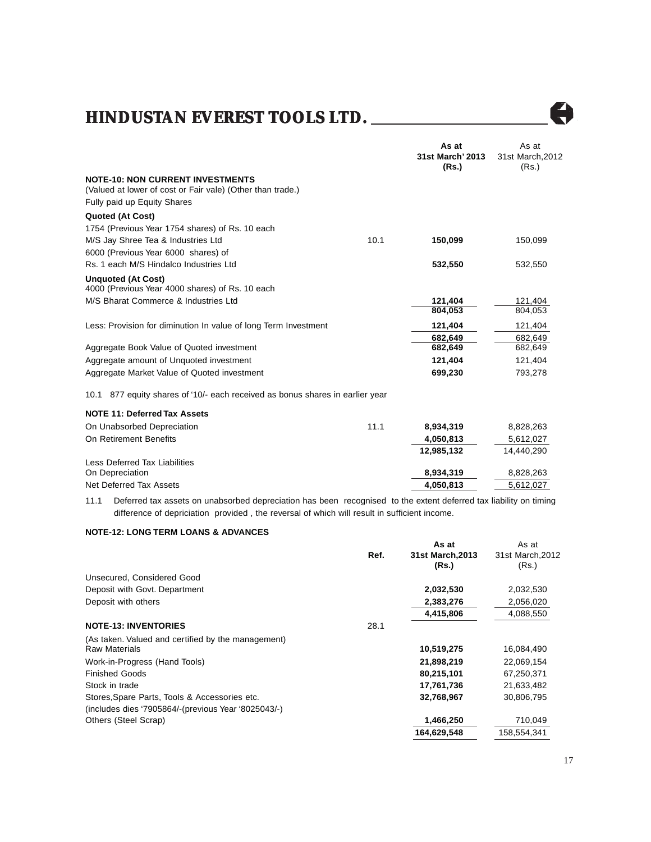

|                                                                                                       |      | As at<br>31st March' 2013<br>(Rs.) | As at<br>31st March, 2012<br>(Rs.) |
|-------------------------------------------------------------------------------------------------------|------|------------------------------------|------------------------------------|
| <b>NOTE-10: NON CURRENT INVESTMENTS</b><br>(Valued at lower of cost or Fair vale) (Other than trade.) |      |                                    |                                    |
| Fully paid up Equity Shares                                                                           |      |                                    |                                    |
| <b>Quoted (At Cost)</b>                                                                               |      |                                    |                                    |
| 1754 (Previous Year 1754 shares) of Rs. 10 each                                                       |      |                                    |                                    |
| M/S Jay Shree Tea & Industries Ltd                                                                    | 10.1 | 150,099                            | 150,099                            |
| 6000 (Previous Year 6000 shares) of                                                                   |      |                                    |                                    |
| Rs. 1 each M/S Hindalco Industries Ltd                                                                |      | 532,550                            | 532,550                            |
| <b>Unquoted (At Cost)</b><br>4000 (Previous Year 4000 shares) of Rs. 10 each                          |      |                                    |                                    |
| M/S Bharat Commerce & Industries Ltd                                                                  |      | 121,404                            | 121,404                            |
|                                                                                                       |      | 804.053                            | 804,053                            |
| Less: Provision for diminution In value of long Term Investment                                       |      | 121,404                            | 121,404                            |
|                                                                                                       |      | 682.649                            | 682,649                            |
| Aggregate Book Value of Quoted investment                                                             |      | 682,649                            | 682,649                            |
| Aggregate amount of Unquoted investment                                                               |      | 121,404                            | 121,404                            |
| Aggregate Market Value of Quoted investment                                                           |      | 699,230                            | 793,278                            |
| 10.1 877 equity shares of '10/- each received as bonus shares in earlier year                         |      |                                    |                                    |
| <b>NOTE 11: Deferred Tax Assets</b>                                                                   |      |                                    |                                    |
| On Unabsorbed Depreciation                                                                            | 11.1 | 8,934,319                          | 8,828,263                          |
| On Retirement Benefits                                                                                |      | 4,050,813                          | 5,612,027                          |
|                                                                                                       |      | 12,985,132                         | 14,440,290                         |
| <b>Less Deferred Tax Liabilities</b>                                                                  |      |                                    |                                    |
| On Depreciation                                                                                       |      | 8,934,319                          | 8,828,263                          |
| Net Deferred Tax Assets                                                                               |      | 4,050,813                          | 5,612,027                          |
|                                                                                                       |      |                                    |                                    |

11.1 Deferred tax assets on unabsorbed depreciation has been recognised to the extent deferred tax liability on timing difference of depriciation provided , the reversal of which will result in sufficient income.

#### **NOTE-12: LONG TERM LOANS & ADVANCES**

|                                                     |      | As at            | As at            |
|-----------------------------------------------------|------|------------------|------------------|
|                                                     | Ref. | 31st March, 2013 | 31st March, 2012 |
|                                                     |      | (Rs.)            | (Rs.)            |
| Unsecured, Considered Good                          |      |                  |                  |
| Deposit with Govt. Department                       |      | 2,032,530        | 2,032,530        |
| Deposit with others                                 |      | 2,383,276        | 2,056,020        |
|                                                     |      | 4,415,806        | 4,088,550        |
| <b>NOTE-13: INVENTORIES</b>                         | 28.1 |                  |                  |
| (As taken. Valued and certified by the management)  |      |                  |                  |
| <b>Raw Materials</b>                                |      | 10,519,275       | 16,084,490       |
| Work-in-Progress (Hand Tools)                       |      | 21,898,219       | 22,069,154       |
| <b>Finished Goods</b>                               |      | 80,215,101       | 67,250,371       |
| Stock in trade                                      |      | 17,761,736       | 21,633,482       |
| Stores, Spare Parts, Tools & Accessories etc.       |      | 32,768,967       | 30,806,795       |
| (includes dies '7905864/-(previous Year '8025043/-) |      |                  |                  |
| Others (Steel Scrap)                                |      | 1,466,250        | 710,049          |
|                                                     |      | 164,629,548      | 158,554,341      |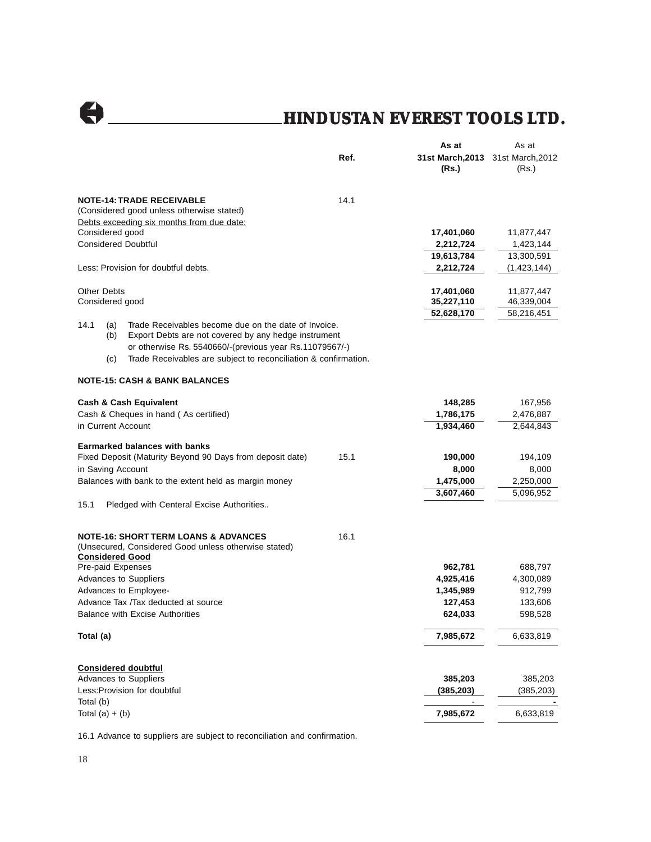|                                |                                                                                                                                                                                                                                            |      | As at                                      | As at       |
|--------------------------------|--------------------------------------------------------------------------------------------------------------------------------------------------------------------------------------------------------------------------------------------|------|--------------------------------------------|-------------|
|                                |                                                                                                                                                                                                                                            | Ref. | 31st March, 2013 31st March, 2012<br>(Rs.) | (Rs.)       |
|                                | <b>NOTE-14: TRADE RECEIVABLE</b><br>(Considered good unless otherwise stated)                                                                                                                                                              | 14.1 |                                            |             |
|                                | Debts exceeding six months from due date:                                                                                                                                                                                                  |      |                                            |             |
| Considered good                |                                                                                                                                                                                                                                            |      | 17,401,060                                 | 11,877,447  |
|                                | <b>Considered Doubtful</b>                                                                                                                                                                                                                 |      | 2,212,724                                  | 1,423,144   |
|                                |                                                                                                                                                                                                                                            |      | 19,613,784                                 | 13,300,591  |
|                                | Less: Provision for doubtful debts.                                                                                                                                                                                                        |      | 2,212,724                                  | (1,423,144) |
| <b>Other Debts</b>             |                                                                                                                                                                                                                                            |      | 17,401,060                                 | 11,877,447  |
| Considered good                |                                                                                                                                                                                                                                            |      | 35,227,110                                 | 46,339,004  |
| 14.1<br>(a)<br>(b)<br>(c)      | Trade Receivables become due on the date of Invoice.<br>Export Debts are not covered by any hedge instrument<br>or otherwise Rs. 5540660/-(previous year Rs.11079567/-)<br>Trade Receivables are subject to reconciliation & confirmation. |      | 52,628,170                                 | 58,216,451  |
|                                | <b>NOTE-15: CASH &amp; BANK BALANCES</b>                                                                                                                                                                                                   |      |                                            |             |
|                                | <b>Cash &amp; Cash Equivalent</b>                                                                                                                                                                                                          |      | 148,285                                    | 167,956     |
|                                | Cash & Cheques in hand (As certified)                                                                                                                                                                                                      |      | 1,786,175                                  | 2,476,887   |
| in Current Account             |                                                                                                                                                                                                                                            |      | 1,934,460                                  | 2,644,843   |
|                                | <b>Earmarked balances with banks</b>                                                                                                                                                                                                       |      |                                            |             |
|                                | Fixed Deposit (Maturity Beyond 90 Days from deposit date)                                                                                                                                                                                  | 15.1 | 190,000                                    | 194,109     |
| in Saving Account              |                                                                                                                                                                                                                                            |      | 8,000                                      | 8,000       |
|                                | Balances with bank to the extent held as margin money                                                                                                                                                                                      |      | 1,475,000                                  | 2,250,000   |
| 15.1                           | Pledged with Centeral Excise Authorities                                                                                                                                                                                                   |      | 3,607,460                                  | 5,096,952   |
| <b>Considered Good</b>         | <b>NOTE-16: SHORT TERM LOANS &amp; ADVANCES</b><br>(Unsecured, Considered Good unless otherwise stated)                                                                                                                                    | 16.1 |                                            |             |
| Pre-paid Expenses              |                                                                                                                                                                                                                                            |      | 962,781                                    | 688,797     |
|                                | <b>Advances to Suppliers</b>                                                                                                                                                                                                               |      | 4,925,416                                  | 4,300,089   |
|                                | Advances to Employee-                                                                                                                                                                                                                      |      | 1,345,989                                  | 912,799     |
|                                | Advance Tax /Tax deducted at source                                                                                                                                                                                                        |      | 127,453                                    | 133,606     |
|                                | <b>Balance with Excise Authorities</b>                                                                                                                                                                                                     |      | 624,033                                    | 598,528     |
| Total (a)                      |                                                                                                                                                                                                                                            |      | 7,985,672                                  | 6,633,819   |
|                                | <b>Considered doubtful</b>                                                                                                                                                                                                                 |      |                                            |             |
|                                | Advances to Suppliers                                                                                                                                                                                                                      |      | 385,203                                    | 385,203     |
|                                | Less: Provision for doubtful                                                                                                                                                                                                               |      | (385, 203)                                 | (385, 203)  |
| Total (b)<br>Total $(a) + (b)$ |                                                                                                                                                                                                                                            |      | 7,985,672                                  | 6,633,819   |
|                                |                                                                                                                                                                                                                                            |      |                                            |             |

16.1 Advance to suppliers are subject to reconciliation and confirmation.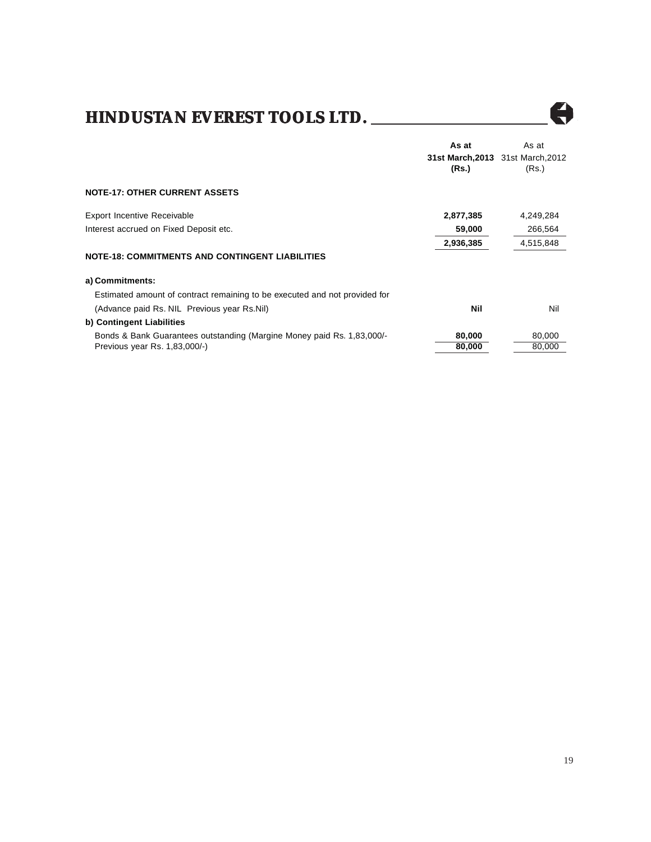

Å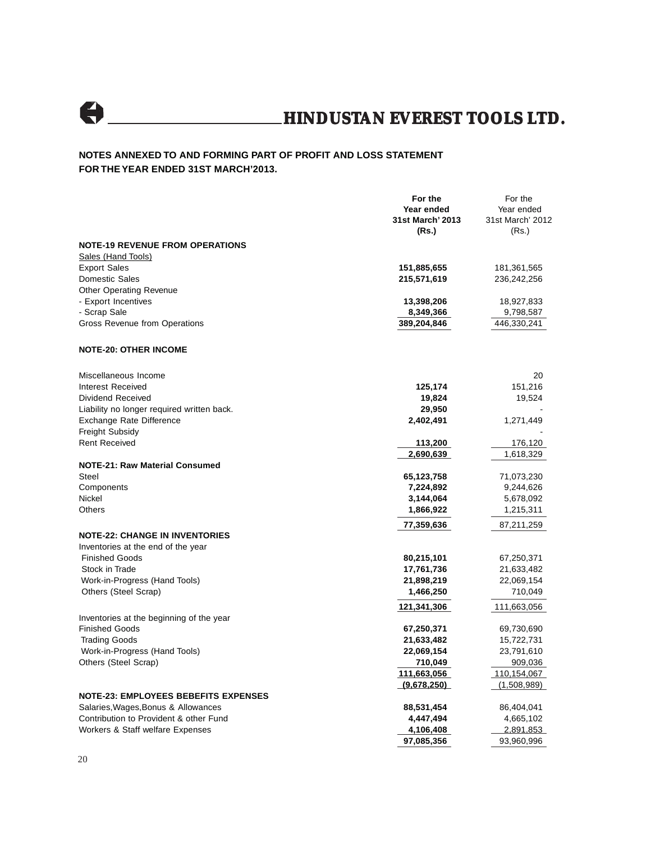

#### **NOTES ANNEXED TO AND FORMING PART OF PROFIT AND LOSS STATEMENT FOR THE YEAR ENDED 31ST MARCH'2013.**

|                                                                   | For the<br>Year ended<br>31st March' 2013<br>(Rs.) | For the<br>Year ended<br>31st March' 2012<br>(Rs.) |
|-------------------------------------------------------------------|----------------------------------------------------|----------------------------------------------------|
| <b>NOTE-19 REVENUE FROM OPERATIONS</b>                            |                                                    |                                                    |
| Sales (Hand Tools)<br><b>Export Sales</b>                         |                                                    |                                                    |
| Domestic Sales                                                    | 151,885,655<br>215,571,619                         | 181,361,565<br>236,242,256                         |
| <b>Other Operating Revenue</b>                                    |                                                    |                                                    |
| - Export Incentives                                               | 13,398,206                                         | 18,927,833                                         |
| - Scrap Sale                                                      | 8,349,366                                          | 9,798,587                                          |
| <b>Gross Revenue from Operations</b>                              | 389,204,846                                        | 446,330,241                                        |
| <b>NOTE-20: OTHER INCOME</b>                                      |                                                    |                                                    |
| Miscellaneous Income                                              |                                                    | 20                                                 |
| <b>Interest Received</b>                                          | 125,174                                            | 151,216                                            |
| Dividend Received                                                 | 19,824                                             | 19,524                                             |
| Liability no longer required written back.                        | 29,950                                             |                                                    |
| Exchange Rate Difference                                          | 2,402,491                                          | 1,271,449                                          |
| Freight Subsidy<br><b>Rent Received</b>                           | 113,200                                            | 176,120                                            |
|                                                                   | 2,690,639                                          | 1,618,329                                          |
| <b>NOTE-21: Raw Material Consumed</b>                             |                                                    |                                                    |
| Steel                                                             | 65,123,758                                         | 71,073,230                                         |
| Components                                                        | 7,224,892                                          | 9,244,626                                          |
| Nickel                                                            | 3,144,064                                          | 5,678,092                                          |
| Others                                                            | 1,866,922                                          | 1,215,311                                          |
|                                                                   | 77,359,636                                         | 87,211,259                                         |
| <b>NOTE-22: CHANGE IN INVENTORIES</b>                             |                                                    |                                                    |
| Inventories at the end of the year                                |                                                    |                                                    |
| <b>Finished Goods</b>                                             | 80,215,101                                         | 67,250,371                                         |
| Stock in Trade                                                    | 17,761,736                                         | 21,633,482                                         |
| Work-in-Progress (Hand Tools)                                     | 21,898,219                                         | 22,069,154                                         |
| Others (Steel Scrap)                                              | 1,466,250                                          | 710,049                                            |
|                                                                   | 121,341,306                                        | 111,663,056                                        |
| Inventories at the beginning of the year<br><b>Finished Goods</b> |                                                    |                                                    |
| <b>Trading Goods</b>                                              | 67,250,371<br>21,633,482                           | 69,730,690<br>15,722,731                           |
| Work-in-Progress (Hand Tools)                                     | 22,069,154                                         | 23,791,610                                         |
| Others (Steel Scrap)                                              | 710,049                                            | 909,036                                            |
|                                                                   | 111,663,056                                        | 110,154,067                                        |
|                                                                   | (9,678,250)                                        | (1,508,989)                                        |
| <b>NOTE-23: EMPLOYEES BEBEFITS EXPENSES</b>                       |                                                    |                                                    |
| Salaries, Wages, Bonus & Allowances                               | 88,531,454                                         | 86,404,041                                         |
| Contribution to Provident & other Fund                            | 4,447,494                                          | 4,665,102                                          |
| Workers & Staff welfare Expenses                                  | 4,106,408                                          | <u>2,891,853 </u>                                  |
|                                                                   | 97,085,356                                         | 93,960,996                                         |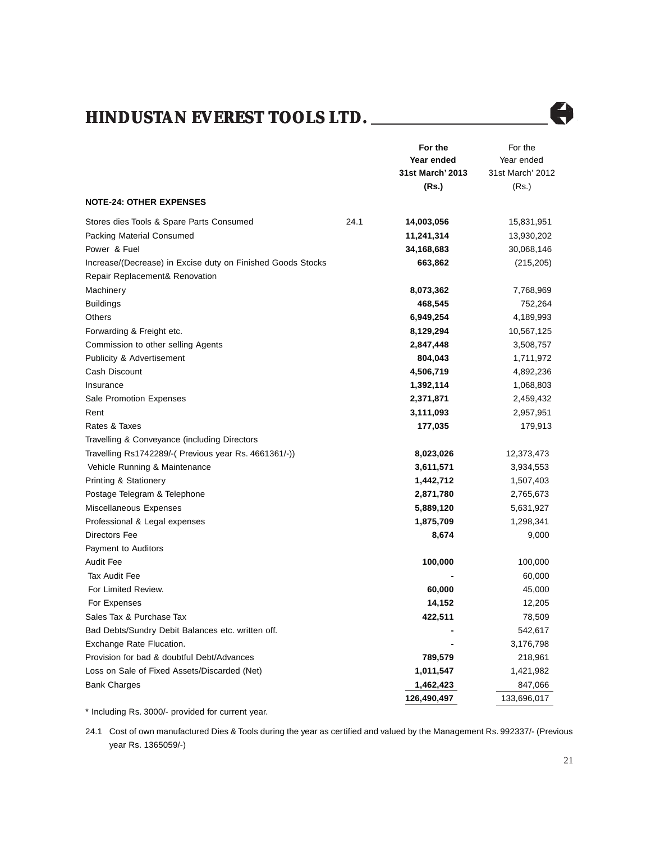

|                                                                                               |      | For the          | For the          |
|-----------------------------------------------------------------------------------------------|------|------------------|------------------|
|                                                                                               |      | Year ended       | Year ended       |
|                                                                                               |      | 31st March' 2013 | 31st March' 2012 |
|                                                                                               |      | (Rs.)            | (Rs.)            |
| <b>NOTE-24: OTHER EXPENSES</b>                                                                |      |                  |                  |
| Stores dies Tools & Spare Parts Consumed                                                      | 24.1 | 14,003,056       | 15,831,951       |
| Packing Material Consumed                                                                     |      | 11,241,314       | 13,930,202       |
| Power & Fuel                                                                                  |      | 34,168,683       | 30,068,146       |
| Increase/(Decrease) in Excise duty on Finished Goods Stocks<br>Repair Replacement& Renovation |      | 663,862          | (215, 205)       |
| Machinery                                                                                     |      | 8,073,362        | 7,768,969        |
| <b>Buildings</b>                                                                              |      | 468,545          | 752,264          |
| Others                                                                                        |      | 6,949,254        | 4,189,993        |
| Forwarding & Freight etc.                                                                     |      | 8,129,294        | 10,567,125       |
| Commission to other selling Agents                                                            |      | 2,847,448        | 3,508,757        |
| <b>Publicity &amp; Advertisement</b>                                                          |      | 804,043          | 1,711,972        |
| Cash Discount                                                                                 |      | 4,506,719        | 4,892,236        |
| Insurance                                                                                     |      | 1,392,114        | 1,068,803        |
| Sale Promotion Expenses                                                                       |      | 2,371,871        | 2,459,432        |
| Rent                                                                                          |      | 3,111,093        | 2,957,951        |
| Rates & Taxes                                                                                 |      | 177,035          | 179,913          |
| Travelling & Conveyance (including Directors                                                  |      |                  |                  |
| Travelling Rs1742289/-( Previous year Rs. 4661361/-))                                         |      | 8,023,026        | 12,373,473       |
| Vehicle Running & Maintenance                                                                 |      | 3,611,571        | 3,934,553        |
| <b>Printing &amp; Stationery</b>                                                              |      | 1,442,712        | 1,507,403        |
| Postage Telegram & Telephone                                                                  |      | 2,871,780        | 2,765,673        |
| Miscellaneous Expenses                                                                        |      | 5,889,120        | 5,631,927        |
| Professional & Legal expenses                                                                 |      | 1,875,709        | 1,298,341        |
| Directors Fee                                                                                 |      | 8,674            | 9,000            |
| Payment to Auditors                                                                           |      |                  |                  |
| Audit Fee                                                                                     |      | 100,000          | 100,000          |
| Tax Audit Fee                                                                                 |      |                  | 60,000           |
| For Limited Review.                                                                           |      | 60,000           | 45,000           |
| For Expenses                                                                                  |      | 14,152           | 12,205           |
| Sales Tax & Purchase Tax                                                                      |      | 422,511          | 78,509           |
| Bad Debts/Sundry Debit Balances etc. written off.                                             |      |                  | 542,617          |
| Exchange Rate Flucation.                                                                      |      |                  | 3,176,798        |
| Provision for bad & doubtful Debt/Advances                                                    |      | 789,579          | 218,961          |
| Loss on Sale of Fixed Assets/Discarded (Net)                                                  |      | 1,011,547        | 1,421,982        |
| <b>Bank Charges</b>                                                                           |      | 1,462,423        | 847,066          |
|                                                                                               |      | 126,490,497      | 133,696,017      |

\* Including Rs. 3000/- provided for current year.

24.1 Cost of own manufactured Dies & Tools during the year as certified and valued by the Management Rs. 992337/- (Previous year Rs. 1365059/-)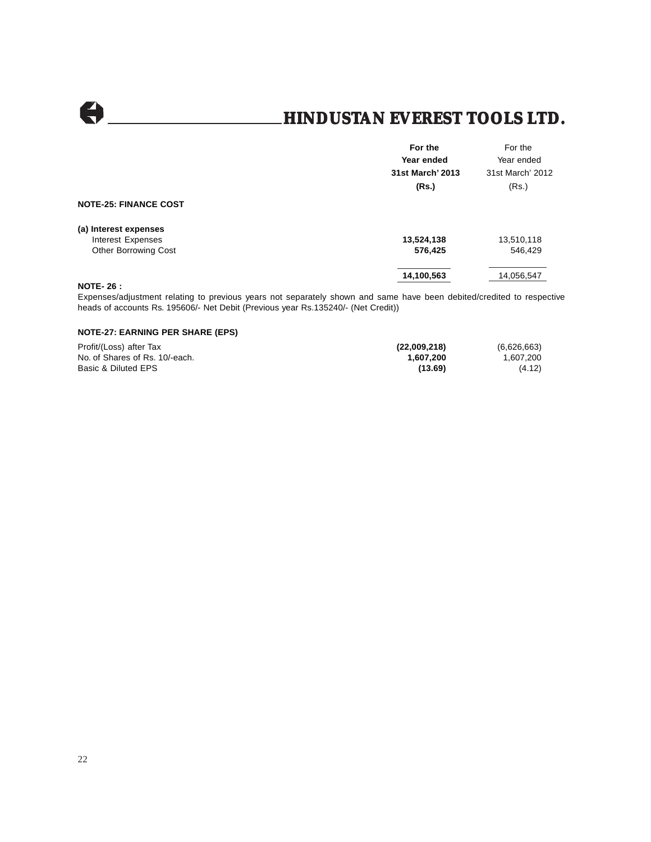$\Theta$ 

### **HINDUSTAN EVEREST TOOLS LTD.**

|                              | For the          | For the          |
|------------------------------|------------------|------------------|
|                              | Year ended       | Year ended       |
|                              | 31st March' 2013 | 31st March' 2012 |
|                              | (Rs.)            | (Rs.)            |
| <b>NOTE-25: FINANCE COST</b> |                  |                  |
| (a) Interest expenses        |                  |                  |
| Interest Expenses            | 13,524,138       | 13,510,118       |
| <b>Other Borrowing Cost</b>  | 576,425          | 546,429          |
|                              | 14,100,563       | 14,056,547       |
| <b>NOTE-26:</b>              |                  |                  |

Expenses/adjustment relating to previous years not separately shown and same have been debited/credited to respective heads of accounts Rs. 195606/- Net Debit (Previous year Rs.135240/- (Net Credit))

#### **NOTE-27: EARNING PER SHARE (EPS)**

| Profit/(Loss) after Tax        | (22,009,218) | (6,626,663) |
|--------------------------------|--------------|-------------|
| No. of Shares of Rs. 10/-each. | 1.607.200    | 1,607,200   |
| Basic & Diluted EPS            | (13.69)      | (4.12)      |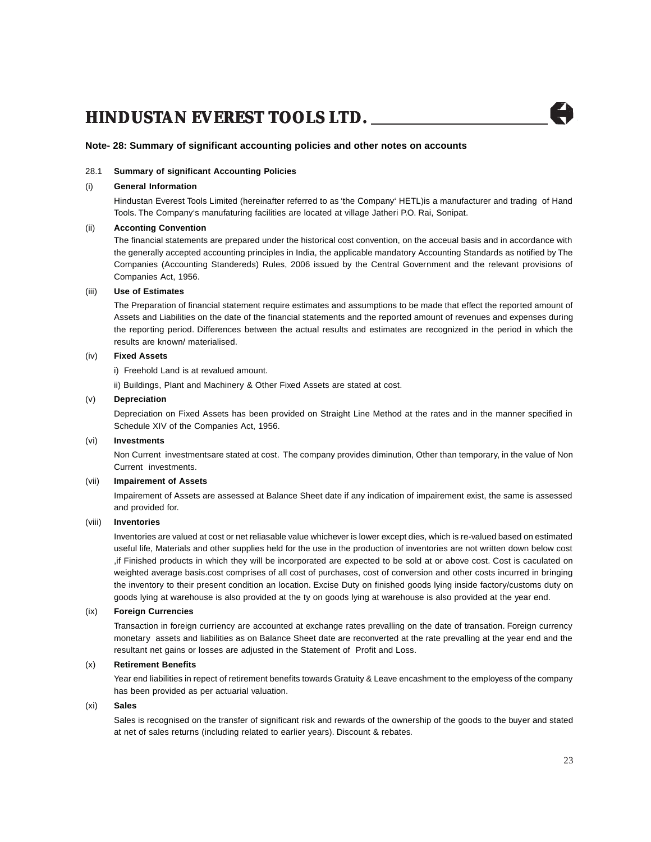#### **Note- 28: Summary of significant accounting policies and other notes on accounts**

#### 28.1 **Summary of significant Accounting Policies**

#### (i) **General Information**

Hindustan Everest Tools Limited (hereinafter referred to as 'the Company' HETL)is a manufacturer and trading of Hand Tools. The Company's manufaturing facilities are located at village Jatheri P.O. Rai, Sonipat.

#### (ii) **Acconting Convention**

The financial statements are prepared under the historical cost convention, on the acceual basis and in accordance with the generally accepted accounting principles in India, the applicable mandatory Accounting Standards as notified by The Companies (Accounting Standereds) Rules, 2006 issued by the Central Government and the relevant provisions of Companies Act, 1956.

#### (iii) **Use of Estimates**

The Preparation of financial statement require estimates and assumptions to be made that effect the reported amount of Assets and Liabilities on the date of the financial statements and the reported amount of revenues and expenses during the reporting period. Differences between the actual results and estimates are recognized in the period in which the results are known/ materialised.

#### (iv) **Fixed Assets**

i) Freehold Land is at revalued amount.

ii) Buildings, Plant and Machinery & Other Fixed Assets are stated at cost.

#### (v) **Depreciation**

Depreciation on Fixed Assets has been provided on Straight Line Method at the rates and in the manner specified in Schedule XIV of the Companies Act, 1956.

#### (vi) **Investments**

Non Current investmentsare stated at cost. The company provides diminution, Other than temporary, in the value of Non Current investments.

#### (vii) **Impairement of Assets**

Impairement of Assets are assessed at Balance Sheet date if any indication of impairement exist, the same is assessed and provided for.

#### (viii) **Inventories**

Inventories are valued at cost or net reliasable value whichever is lower except dies, which is re-valued based on estimated useful life, Materials and other supplies held for the use in the production of inventories are not written down below cost ,if Finished products in which they will be incorporated are expected to be sold at or above cost. Cost is caculated on weighted average basis.cost comprises of all cost of purchases, cost of conversion and other costs incurred in bringing the inventory to their present condition an location. Excise Duty on finished goods lying inside factory/customs duty on goods lying at warehouse is also provided at the ty on goods lying at warehouse is also provided at the year end.

#### (ix) **Foreign Currencies**

Transaction in foreign curriency are accounted at exchange rates prevalling on the date of transation. Foreign currency monetary assets and liabilities as on Balance Sheet date are reconverted at the rate prevalling at the year end and the resultant net gains or losses are adjusted in the Statement of Profit and Loss.

#### (x) **Retirement Benefits**

Year end liabilities in repect of retirement benefits towards Gratuity & Leave encashment to the employess of the company has been provided as per actuarial valuation.

#### (xi) **Sales**

Sales is recognised on the transfer of significant risk and rewards of the ownership of the goods to the buyer and stated at net of sales returns (including related to earlier years). Discount & rebates.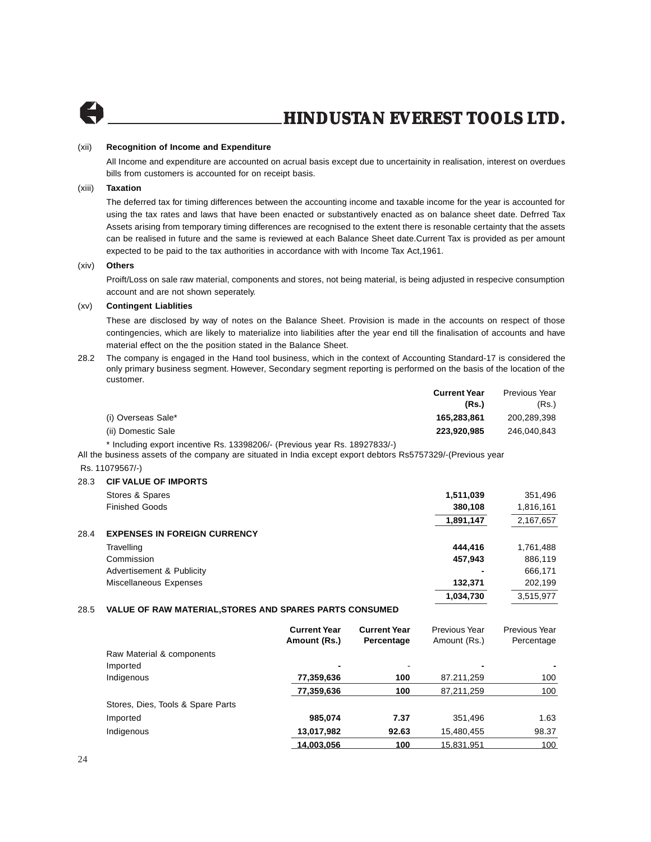

#### (xii) **Recognition of Income and Expenditure**

All Income and expenditure are accounted on acrual basis except due to uncertainity in realisation, interest on overdues bills from customers is accounted for on receipt basis.

#### (xiii) **Taxation**

The deferred tax for timing differences between the accounting income and taxable income for the year is accounted for using the tax rates and laws that have been enacted or substantively enacted as on balance sheet date. Defrred Tax Assets arising from temporary timing differences are recognised to the extent there is resonable certainty that the assets can be realised in future and the same is reviewed at each Balance Sheet date.Current Tax is provided as per amount expected to be paid to the tax authorities in accordance with with Income Tax Act,1961.

#### (xiv) **Others**

Proift/Loss on sale raw material, components and stores, not being material, is being adjusted in respecive consumption account and are not shown seperately.

#### (xv) **Contingent Liablities**

These are disclosed by way of notes on the Balance Sheet. Provision is made in the accounts on respect of those contingencies, which are likely to materialize into liabilities after the year end till the finalisation of accounts and have material effect on the the position stated in the Balance Sheet.

28.2 The company is engaged in the Hand tool business, which in the context of Accounting Standard-17 is considered the only primary business segment. However, Secondary segment reporting is performed on the basis of the location of the customer.

| Previous Year<br><b>Current Year</b> |
|--------------------------------------|
| (Rs.)<br>(Rs.)                       |
| 200,289,398<br>165.283.861           |
| 246.040.843<br>223.920.985           |
|                                      |

\* Including export incentive Rs. 13398206/- (Previous year Rs. 18927833/-)

All the business assets of the company are situated in India except export debtors Rs5757329/-(Previous year

#### Rs. 11079567/-)

#### 28.3 **CIF VALUE OF IMPORTS**

|      | Stores & Spares                     | 1,511,039 | 351,496   |
|------|-------------------------------------|-----------|-----------|
|      | <b>Finished Goods</b>               | 380,108   | 1,816,161 |
|      |                                     | 1,891,147 | 2,167,657 |
| 28.4 | <b>EXPENSES IN FOREIGN CURRENCY</b> |           |           |
|      | Travelling                          | 444.416   | 1,761,488 |
|      | Commission                          | 457.943   | 886,119   |
|      | Advertisement & Publicity           |           | 666,171   |
|      | Miscellaneous Expenses              | 132.371   | 202.199   |
|      |                                     | 1,034,730 | 3.515.977 |

#### 28.5 **VALUE OF RAW MATERIAL,STORES AND SPARES PARTS CONSUMED**

|                                   | <b>Current Year</b><br>Amount (Rs.) | <b>Current Year</b><br>Percentage | Previous Year<br>Amount (Rs.) | Previous Year<br>Percentage |
|-----------------------------------|-------------------------------------|-----------------------------------|-------------------------------|-----------------------------|
| Raw Material & components         |                                     |                                   |                               |                             |
| Imported                          | -                                   | $\,$                              | ٠                             |                             |
| Indigenous                        | 77,359,636                          | 100                               | 87.211,259                    | 100                         |
|                                   | 77,359,636                          | 100                               | 87,211,259                    | 100                         |
| Stores, Dies, Tools & Spare Parts |                                     |                                   |                               |                             |
| Imported                          | 985,074                             | 7.37                              | 351,496                       | 1.63                        |
| Indigenous                        | 13,017,982                          | 92.63                             | 15,480,455                    | 98.37                       |
|                                   | 14,003,056                          | 100                               | 15.831.951                    | 100                         |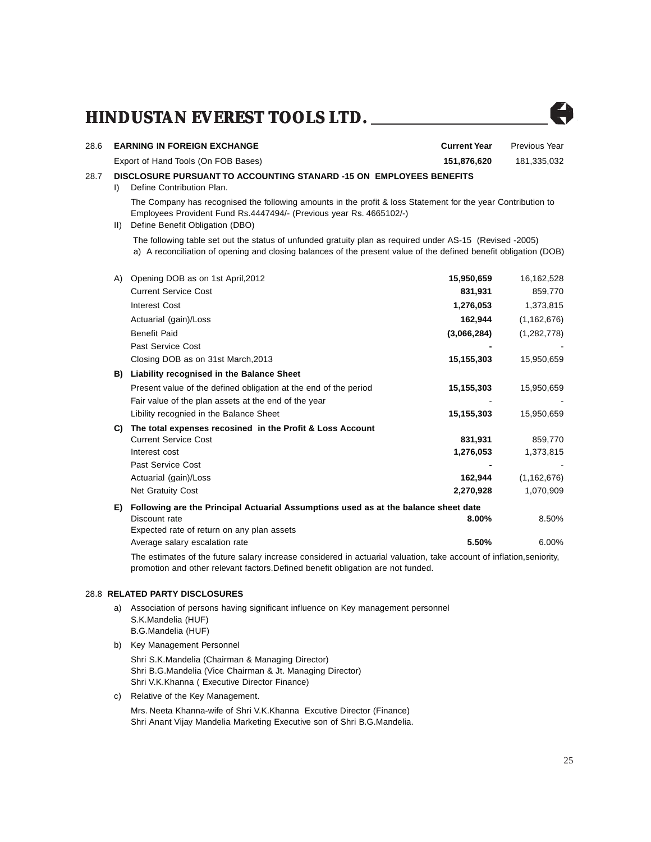

The estimates of the future salary increase considered in actuarial valuation, take account of inflation,seniority, promotion and other relevant factors.Defined benefit obligation are not funded.

#### 28.8 **RELATED PARTY DISCLOSURES**

- a) Association of persons having significant influence on Key management personnel S.K.Mandelia (HUF) B.G.Mandelia (HUF)
- b) Key Management Personnel
	- Shri S.K.Mandelia (Chairman & Managing Director) Shri B.G.Mandelia (Vice Chairman & Jt. Managing Director) Shri V.K.Khanna ( Executive Director Finance)
- c) Relative of the Key Management.

Mrs. Neeta Khanna-wife of Shri V.K.Khanna Excutive Director (Finance) Shri Anant Vijay Mandelia Marketing Executive son of Shri B.G.Mandelia.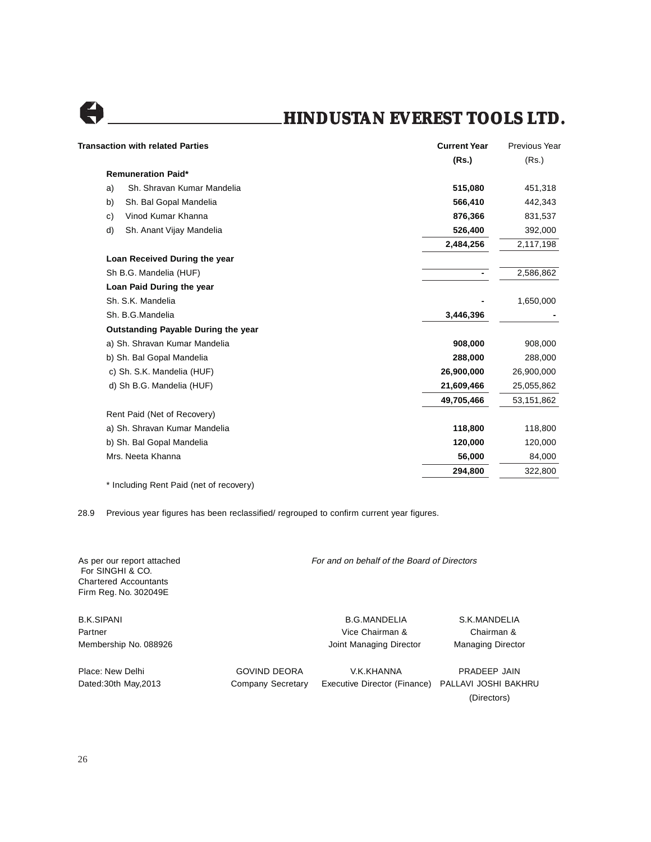

| <b>Transaction with related Parties</b> | <b>Current Year</b> | <b>Previous Year</b> |
|-----------------------------------------|---------------------|----------------------|
|                                         | (Rs.)               | (Rs.)                |
| <b>Remuneration Paid*</b>               |                     |                      |
| Sh. Shravan Kumar Mandelia<br>a)        | 515,080             | 451,318              |
| Sh. Bal Gopal Mandelia<br>b)            | 566,410             | 442,343              |
| Vinod Kumar Khanna<br>c)                | 876,366             | 831,537              |
| d)<br>Sh. Anant Vijay Mandelia          | 526,400             | 392,000              |
|                                         | 2,484,256           | 2,117,198            |
| Loan Received During the year           |                     |                      |
| Sh B.G. Mandelia (HUF)                  |                     | 2,586,862            |
| Loan Paid During the year               |                     |                      |
| Sh. S.K. Mandelia                       |                     | 1,650,000            |
| Sh. B.G.Mandelia                        | 3,446,396           |                      |
| Outstanding Payable During the year     |                     |                      |
| a) Sh. Shravan Kumar Mandelia           | 908,000             | 908,000              |
| b) Sh. Bal Gopal Mandelia               | 288,000             | 288,000              |
| c) Sh. S.K. Mandelia (HUF)              | 26,900,000          | 26,900,000           |
| d) Sh B.G. Mandelia (HUF)               | 21,609,466          | 25,055,862           |
|                                         | 49,705,466          | 53,151,862           |
| Rent Paid (Net of Recovery)             |                     |                      |
| a) Sh. Shravan Kumar Mandelia           | 118,800             | 118,800              |
| b) Sh. Bal Gopal Mandelia               | 120,000             | 120,000              |
| Mrs. Neeta Khanna                       | 56,000              | 84,000               |
|                                         | 294,800             | 322,800              |
| * Including Rent Paid (net of recovery) |                     |                      |

28.9 Previous year figures has been reclassified/ regrouped to confirm current year figures.

| As per our report attached<br>For SINGHI & CO.<br><b>Chartered Accountants</b><br>Firm Reg. No. 302049E |                     | For and on behalf of the Board of Directors |                          |  |
|---------------------------------------------------------------------------------------------------------|---------------------|---------------------------------------------|--------------------------|--|
| <b>B.K.SIPANI</b>                                                                                       |                     | <b>B.G.MANDELIA</b>                         | S.K.MANDELIA             |  |
| Partner                                                                                                 |                     | Vice Chairman &                             | Chairman &               |  |
| Membership No. 088926                                                                                   |                     | Joint Managing Director                     | <b>Managing Director</b> |  |
| Place: New Delhi                                                                                        | <b>GOVIND DEORA</b> | V.K.KHANNA                                  | PRADEEP JAIN             |  |
| Dated: 30th May, 2013                                                                                   | Company Secretary   | Executive Director (Finance)                | PALLAVI JOSHI BAKHRU     |  |
|                                                                                                         |                     |                                             | (Directors)              |  |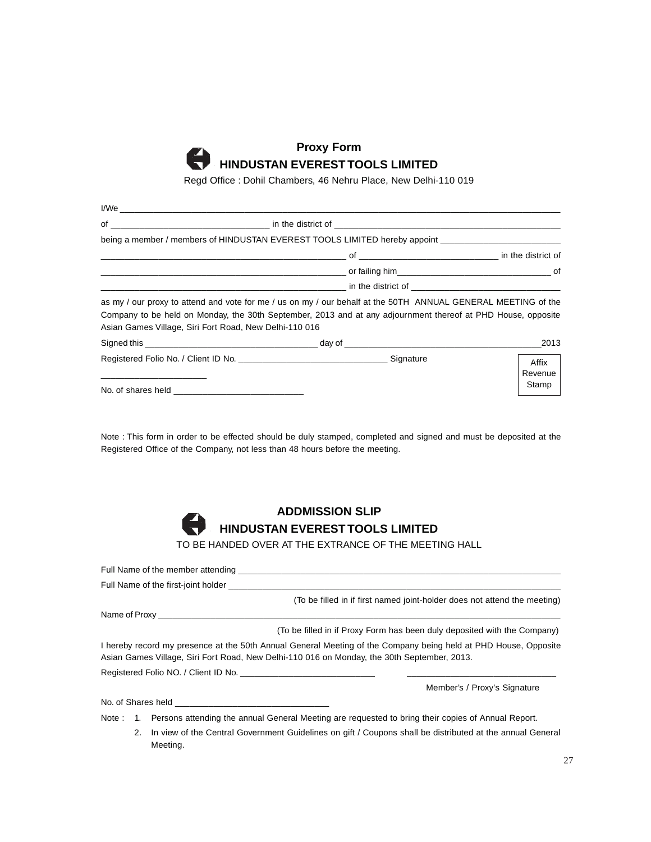

Regd Office : Dohil Chambers, 46 Nehru Place, New Delhi-110 019

| I/We                                                   |                                                                                                                                                                                                                                |                           |
|--------------------------------------------------------|--------------------------------------------------------------------------------------------------------------------------------------------------------------------------------------------------------------------------------|---------------------------|
|                                                        |                                                                                                                                                                                                                                |                           |
|                                                        | being a member / members of HINDUSTAN EVEREST TOOLS LIMITED hereby appoint                                                                                                                                                     |                           |
|                                                        |                                                                                                                                                                                                                                |                           |
|                                                        |                                                                                                                                                                                                                                |                           |
|                                                        | in the district of the state of the state of the state of the state of the state of the state of the state of the state of the state of the state of the state of the state of the state of the state of the state of the stat |                           |
| Asian Games Village, Siri Fort Road, New Delhi-110 016 | as my / our proxy to attend and vote for me / us on my / our behalf at the 50TH ANNUAL GENERAL MEETING of the<br>Company to be held on Monday, the 30th September, 2013 and at any adjournment thereof at PHD House, opposite  |                           |
|                                                        |                                                                                                                                                                                                                                | 2013                      |
|                                                        |                                                                                                                                                                                                                                | Affix<br>Revenue<br>Stamp |

No. of shares held

Note : This form in order to be effected should be duly stamped, completed and signed and must be deposited at the Registered Office of the Company, not less than 48 hours before the meeting.



TO BE HANDED OVER AT THE EXTRANCE OF THE MEETING HALL

| Full Name of the member attending the state of the state of the member of the member of the state of the state of the state of the state of the state of the state of the state of the state of the state of the state of the |
|-------------------------------------------------------------------------------------------------------------------------------------------------------------------------------------------------------------------------------|
| Full Name of the first-joint holder                                                                                                                                                                                           |
| (To be filled in if first named joint-holder does not attend the meeting)                                                                                                                                                     |
|                                                                                                                                                                                                                               |
| (To be filled in if Proxy Form has been duly deposited with the Company)                                                                                                                                                      |
| I hereby record my presence at the 50th Annual General Meeting of the Company being held at PHD House, Opposite<br>Asian Games Village, Siri Fort Road, New Delhi-110 016 on Monday, the 30th September, 2013.                |
|                                                                                                                                                                                                                               |
| Member's / Proxy's Signature                                                                                                                                                                                                  |
| No. of Shares held <b>No.</b> of Shares held                                                                                                                                                                                  |
| Note: 1. Persons attending the annual General Meeting are requested to bring their copies of Annual Report.                                                                                                                   |
| 2. In view of the Control Covernment Guidelines on gift / Counons shall be distributed at the annual General                                                                                                                  |

2. In view of the Central Government Guidelines on gift / Coupons shall be distributed at the annual General Meeting.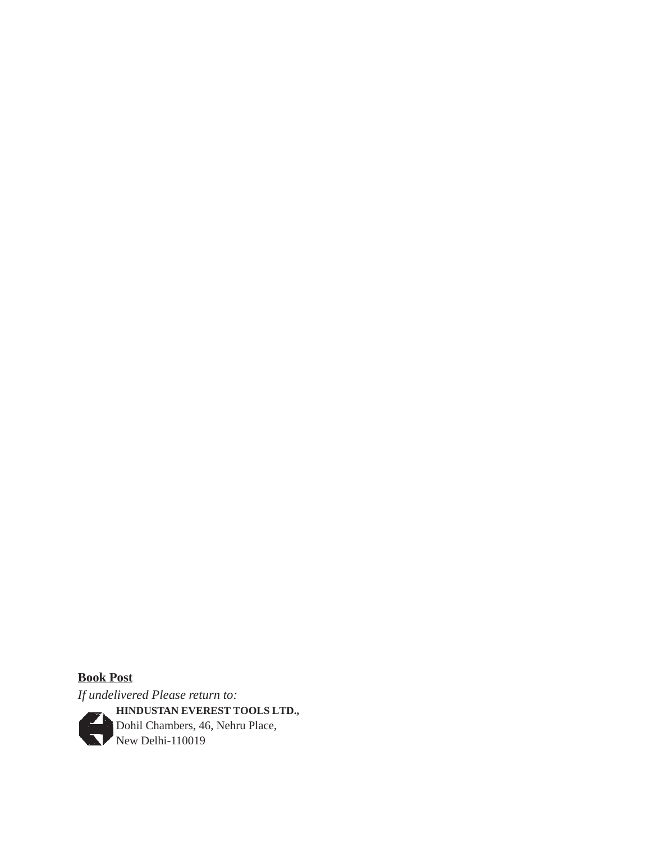**Book Post** *If undelivered Please return to:* **HINDUSTAN EVEREST TOOLS LTD.,** Dohil Chambers, 46, Nehru Place, New Delhi-110019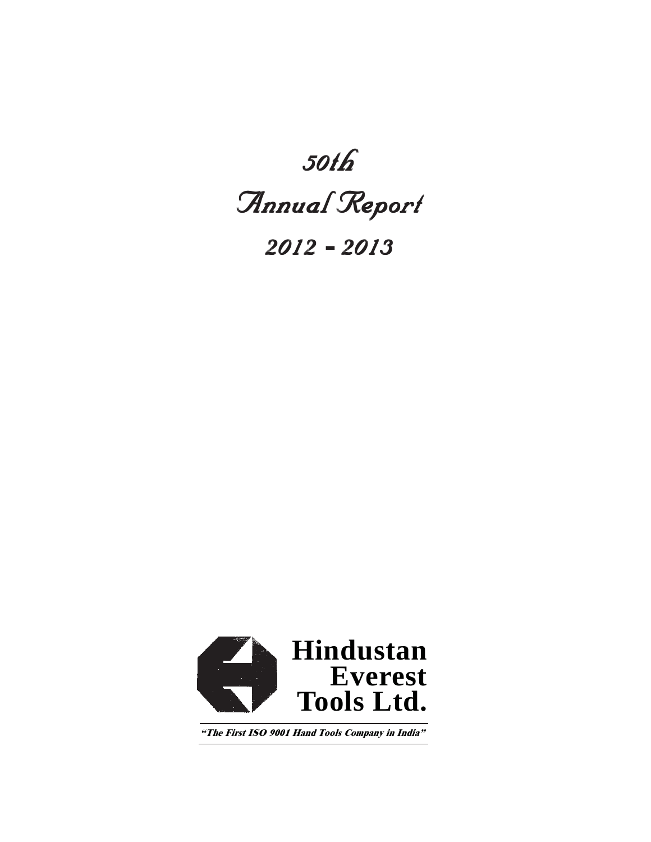## *50th*

# $Annu$ *al Report*

*2012* **-** *2013*



The First ISO 9001 Hand Tools Company in India